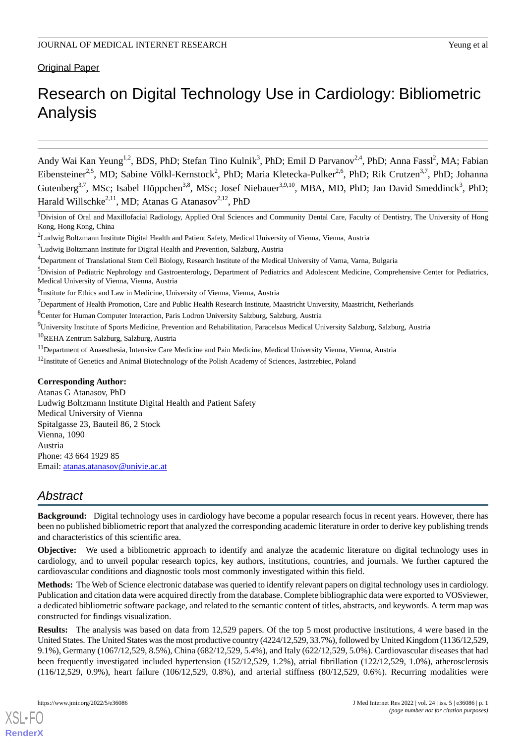# Original Paper

# Research on Digital Technology Use in Cardiology: Bibliometric Analysis

Andy Wai Kan Yeung<sup>1,2</sup>, BDS, PhD; Stefan Tino Kulnik<sup>3</sup>, PhD; Emil D Parvanov<sup>2,4</sup>, PhD; Anna Fassl<sup>2</sup>, MA; Fabian Eibensteiner<sup>2,5</sup>, MD; Sabine Völkl-Kernstock<sup>2</sup>, PhD; Maria Kletecka-Pulker<sup>2,6</sup>, PhD; Rik Crutzen<sup>3,7</sup>, PhD; Johanna Gutenberg<sup>3,7</sup>, MSc; Isabel Höppchen<sup>3,8</sup>, MSc; Josef Niebauer<sup>3,9,10</sup>, MBA, MD, PhD; Jan David Smeddinck<sup>3</sup>, PhD; Harald Willschke<sup>2,11</sup>, MD; Atanas G Atanasov<sup>2,12</sup>, PhD

<sup>1</sup>Division of Oral and Maxillofacial Radiology, Applied Oral Sciences and Community Dental Care, Faculty of Dentistry, The University of Hong Kong, Hong Kong, China

<sup>4</sup>Department of Translational Stem Cell Biology, Research Institute of the Medical University of Varna, Varna, Bulgaria

<sup>5</sup>Division of Pediatric Nephrology and Gastroenterology, Department of Pediatrics and Adolescent Medicine, Comprehensive Center for Pediatrics, Medical University of Vienna, Vienna, Austria

<sup>6</sup>Institute for Ethics and Law in Medicine, University of Vienna, Vienna, Austria

- $7$ Department of Health Promotion, Care and Public Health Research Institute, Maastricht University, Maastricht, Netherlands
- <sup>8</sup>Center for Human Computer Interaction, Paris Lodron University Salzburg, Salzburg, Austria
- <sup>9</sup>University Institute of Sports Medicine, Prevention and Rehabilitation, Paracelsus Medical University Salzburg, Salzburg, Austria

<sup>10</sup>REHA Zentrum Salzburg, Salzburg, Austria

- <sup>11</sup>Department of Anaesthesia, Intensive Care Medicine and Pain Medicine, Medical University Vienna, Vienna, Austria
- <sup>12</sup>Institute of Genetics and Animal Biotechnology of the Polish Academy of Sciences, Jastrzebiec, Poland

#### **Corresponding Author:**

Atanas G Atanasov, PhD Ludwig Boltzmann Institute Digital Health and Patient Safety Medical University of Vienna Spitalgasse 23, Bauteil 86, 2 Stock Vienna, 1090 Austria Phone: 43 664 1929 85 Email: [atanas.atanasov@univie.ac.at](mailto:atanas.atanasov@univie.ac.at)

# *Abstract*

**Background:** Digital technology uses in cardiology have become a popular research focus in recent years. However, there has been no published bibliometric report that analyzed the corresponding academic literature in order to derive key publishing trends and characteristics of this scientific area.

**Objective:** We used a bibliometric approach to identify and analyze the academic literature on digital technology uses in cardiology, and to unveil popular research topics, key authors, institutions, countries, and journals. We further captured the cardiovascular conditions and diagnostic tools most commonly investigated within this field.

**Methods:** The Web of Science electronic database was queried to identify relevant papers on digital technology uses in cardiology. Publication and citation data were acquired directly from the database. Complete bibliographic data were exported to VOSviewer, a dedicated bibliometric software package, and related to the semantic content of titles, abstracts, and keywords. A term map was constructed for findings visualization.

**Results:** The analysis was based on data from 12,529 papers. Of the top 5 most productive institutions, 4 were based in the United States. The United States was the most productive country (4224/12,529, 33.7%), followed by United Kingdom (1136/12,529, 9.1%), Germany (1067/12,529, 8.5%), China (682/12,529, 5.4%), and Italy (622/12,529, 5.0%). Cardiovascular diseases that had been frequently investigated included hypertension (152/12,529, 1.2%), atrial fibrillation (122/12,529, 1.0%), atherosclerosis (116/12,529, 0.9%), heart failure (106/12,529, 0.8%), and arterial stiffness (80/12,529, 0.6%). Recurring modalities were

<sup>&</sup>lt;sup>2</sup>Ludwig Boltzmann Institute Digital Health and Patient Safety, Medical University of Vienna, Vienna, Austria

<sup>&</sup>lt;sup>3</sup>Ludwig Boltzmann Institute for Digital Health and Prevention, Salzburg, Austria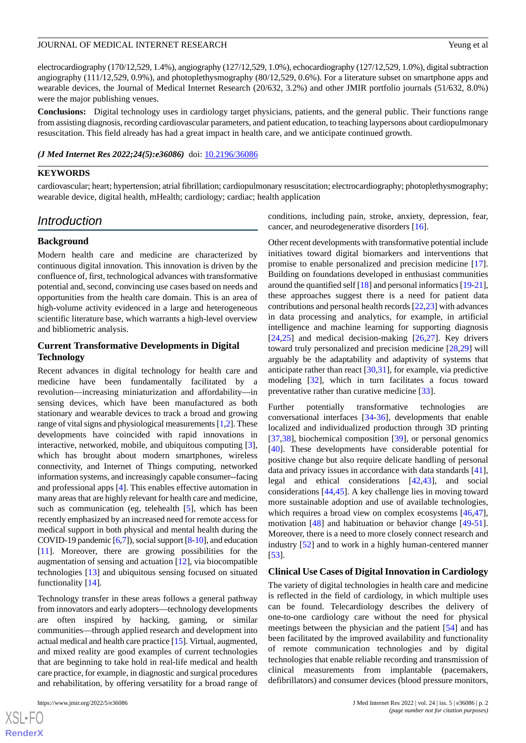electrocardiography (170/12,529, 1.4%), angiography (127/12,529, 1.0%), echocardiography (127/12,529, 1.0%), digital subtraction angiography (111/12,529, 0.9%), and photoplethysmography (80/12,529, 0.6%). For a literature subset on smartphone apps and wearable devices, the Journal of Medical Internet Research (20/632, 3.2%) and other JMIR portfolio journals (51/632, 8.0%) were the major publishing venues.

**Conclusions:** Digital technology uses in cardiology target physicians, patients, and the general public. Their functions range from assisting diagnosis, recording cardiovascular parameters, and patient education, to teaching laypersons about cardiopulmonary resuscitation. This field already has had a great impact in health care, and we anticipate continued growth.

*(J Med Internet Res 2022;24(5):e36086)* doi: **[10.2196/36086](http://dx.doi.org/10.2196/36086)** 

#### **KEYWORDS**

cardiovascular; heart; hypertension; atrial fibrillation; cardiopulmonary resuscitation; electrocardiography; photoplethysmography; wearable device, digital health, mHealth; cardiology; cardiac; health application

# *Introduction*

### **Background**

Modern health care and medicine are characterized by continuous digital innovation. This innovation is driven by the confluence of, first, technological advances with transformative potential and, second, convincing use cases based on needs and opportunities from the health care domain. This is an area of high-volume activity evidenced in a large and heterogeneous scientific literature base, which warrants a high-level overview and bibliometric analysis.

### **Current Transformative Developments in Digital Technology**

Recent advances in digital technology for health care and medicine have been fundamentally facilitated by a revolution—increasing miniaturization and affordability—in sensing devices, which have been manufactured as both stationary and wearable devices to track a broad and growing range of vital signs and physiological measurements [\[1](#page-10-0),[2\]](#page-10-1). These developments have coincided with rapid innovations in interactive, networked, mobile, and ubiquitous computing [[3\]](#page-10-2), which has brought about modern smartphones, wireless connectivity, and Internet of Things computing, networked information systems, and increasingly capable consumer--facing and professional apps [\[4](#page-10-3)]. This enables effective automation in many areas that are highly relevant for health care and medicine, such as communication (eg, telehealth [[5\]](#page-10-4), which has been recently emphasized by an increased need for remote access for medical support in both physical and mental health during the COVID-19 pandemic [\[6](#page-10-5)[,7](#page-10-6)]), social support [\[8](#page-10-7)-[10](#page-10-8)], and education [[11\]](#page-10-9). Moreover, there are growing possibilities for the augmentation of sensing and actuation [[12\]](#page-10-10), via biocompatible technologies [[13\]](#page-10-11) and ubiquitous sensing focused on situated functionality [[14\]](#page-10-12).

Technology transfer in these areas follows a general pathway from innovators and early adopters—technology developments are often inspired by hacking, gaming, or similar communities—through applied research and development into actual medical and health care practice [\[15\]](#page-10-13). Virtual, augmented, and mixed reality are good examples of current technologies that are beginning to take hold in real-life medical and health care practice, for example, in diagnostic and surgical procedures and rehabilitation, by offering versatility for a broad range of

conditions, including pain, stroke, anxiety, depression, fear, cancer, and neurodegenerative disorders [[16\]](#page-11-0).

Other recent developments with transformative potential include initiatives toward digital biomarkers and interventions that promise to enable personalized and precision medicine [[17\]](#page-11-1). Building on foundations developed in enthusiast communities around the quantified self [[18\]](#page-11-2) and personal informatics [\[19](#page-11-3)[-21](#page-11-4)], these approaches suggest there is a need for patient data contributions and personal health records [[22,](#page-11-5)[23\]](#page-11-6) with advances in data processing and analytics, for example, in artificial intelligence and machine learning for supporting diagnosis [[24,](#page-11-7)[25\]](#page-11-8) and medical decision-making [\[26](#page-11-9),[27\]](#page-11-10). Key drivers toward truly personalized and precision medicine [\[28](#page-11-11)[,29](#page-11-12)] will arguably be the adaptability and adaptivity of systems that anticipate rather than react [\[30](#page-11-13),[31\]](#page-11-14), for example, via predictive modeling [\[32](#page-11-15)], which in turn facilitates a focus toward preventative rather than curative medicine [\[33](#page-11-16)].

Further potentially transformative technologies are conversational interfaces [\[34](#page-11-17)[-36](#page-11-18)], developments that enable localized and individualized production through 3D printing [[37,](#page-11-19)[38\]](#page-11-20), biochemical composition [[39\]](#page-12-0), or personal genomics [[40\]](#page-12-1). These developments have considerable potential for positive change but also require delicate handling of personal data and privacy issues in accordance with data standards [[41\]](#page-12-2), legal and ethical considerations [\[42](#page-12-3),[43\]](#page-12-4), and social considerations [\[44](#page-12-5),[45\]](#page-12-6). A key challenge lies in moving toward more sustainable adoption and use of available technologies, which requires a broad view on complex ecosystems [\[46](#page-12-7),[47\]](#page-12-8), motivation [[48\]](#page-12-9) and habituation or behavior change [[49-](#page-12-10)[51\]](#page-12-11). Moreover, there is a need to more closely connect research and industry [\[52](#page-12-12)] and to work in a highly human-centered manner [[53\]](#page-12-13).

#### **Clinical Use Cases of Digital Innovation in Cardiology**

The variety of digital technologies in health care and medicine is reflected in the field of cardiology, in which multiple uses can be found. Telecardiology describes the delivery of one-to-one cardiology care without the need for physical meetings between the physician and the patient [[54\]](#page-12-14) and has been facilitated by the improved availability and functionality of remote communication technologies and by digital technologies that enable reliable recording and transmission of clinical measurements from implantable (pacemakers, defibrillators) and consumer devices (blood pressure monitors,

```
XS-FO
RenderX
```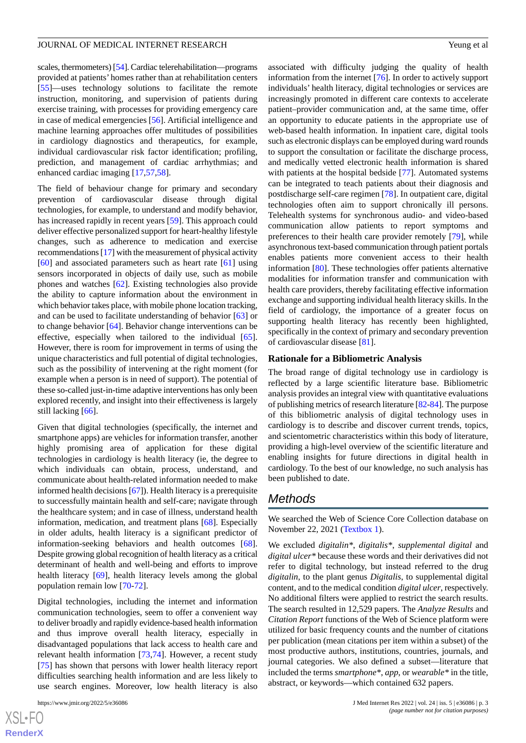scales, thermometers) [\[54\]](#page-12-14). Cardiac telerehabilitation—programs provided at patients' homes rather than at rehabilitation centers [[55\]](#page-12-15)—uses technology solutions to facilitate the remote instruction, monitoring, and supervision of patients during exercise training, with processes for providing emergency care in case of medical emergencies [[56\]](#page-12-16). Artificial intelligence and machine learning approaches offer multitudes of possibilities in cardiology diagnostics and therapeutics, for example, individual cardiovascular risk factor identification; profiling, prediction, and management of cardiac arrhythmias; and enhanced cardiac imaging [[17](#page-11-1)[,57](#page-12-17),[58\]](#page-12-18).

The field of behaviour change for primary and secondary prevention of cardiovascular disease through digital technologies, for example, to understand and modify behavior, has increased rapidly in recent years [\[59](#page-12-19)]. This approach could deliver effective personalized support for heart-healthy lifestyle changes, such as adherence to medication and exercise recommendations [\[17\]](#page-11-1) with the measurement of physical activity [[60\]](#page-12-20) and associated parameters such as heart rate [[61\]](#page-12-21) using sensors incorporated in objects of daily use, such as mobile phones and watches [\[62](#page-12-22)]. Existing technologies also provide the ability to capture information about the environment in which behavior takes place, with mobile phone location tracking, and can be used to facilitate understanding of behavior [\[63](#page-13-0)] or to change behavior [[64\]](#page-13-1). Behavior change interventions can be effective, especially when tailored to the individual [[65\]](#page-13-2). However, there is room for improvement in terms of using the unique characteristics and full potential of digital technologies, such as the possibility of intervening at the right moment (for example when a person is in need of support). The potential of these so-called just-in-time adaptive interventions has only been explored recently, and insight into their effectiveness is largely still lacking [\[66](#page-13-3)].

Given that digital technologies (specifically, the internet and smartphone apps) are vehicles for information transfer, another highly promising area of application for these digital technologies in cardiology is health literacy (ie, the degree to which individuals can obtain, process, understand, and communicate about health-related information needed to make informed health decisions [\[67](#page-13-4)]). Health literacy is a prerequisite to successfully maintain health and self-care; navigate through the healthcare system; and in case of illness, understand health information, medication, and treatment plans [\[68](#page-13-5)]. Especially in older adults, health literacy is a significant predictor of information-seeking behaviors and health outcomes [[68\]](#page-13-5). Despite growing global recognition of health literacy as a critical determinant of health and well-being and efforts to improve health literacy [[69\]](#page-13-6), health literacy levels among the global population remain low [[70-](#page-13-7)[72\]](#page-13-8).

Digital technologies, including the internet and information communication technologies, seem to offer a convenient way to deliver broadly and rapidly evidence-based health information and thus improve overall health literacy, especially in disadvantaged populations that lack access to health care and relevant health information [\[73](#page-13-9),[74\]](#page-13-10). However, a recent study [[75\]](#page-13-11) has shown that persons with lower health literacy report difficulties searching health information and are less likely to use search engines. Moreover, low health literacy is also

associated with difficulty judging the quality of health information from the internet [\[76](#page-13-12)]. In order to actively support individuals' health literacy, digital technologies or services are increasingly promoted in different care contexts to accelerate patient–provider communication and, at the same time, offer an opportunity to educate patients in the appropriate use of web-based health information. In inpatient care, digital tools such as electronic displays can be employed during ward rounds to support the consultation or facilitate the discharge process, and medically vetted electronic health information is shared with patients at the hospital bedside [[77\]](#page-13-13). Automated systems can be integrated to teach patients about their diagnosis and postdischarge self-care regimen [\[78](#page-13-14)]. In outpatient care, digital technologies often aim to support chronically ill persons. Telehealth systems for synchronous audio- and video-based communication allow patients to report symptoms and preferences to their health care provider remotely [[79\]](#page-13-15), while asynchronous text-based communication through patient portals enables patients more convenient access to their health information [[80\]](#page-13-16). These technologies offer patients alternative modalities for information transfer and communication with health care providers, thereby facilitating effective information exchange and supporting individual health literacy skills. In the field of cardiology, the importance of a greater focus on supporting health literacy has recently been highlighted, specifically in the context of primary and secondary prevention of cardiovascular disease [[81\]](#page-13-17).

#### **Rationale for a Bibliometric Analysis**

The broad range of digital technology use in cardiology is reflected by a large scientific literature base. Bibliometric analysis provides an integral view with quantitative evaluations of publishing metrics of research literature [[82-](#page-13-18)[84\]](#page-14-0). The purpose of this bibliometric analysis of digital technology uses in cardiology is to describe and discover current trends, topics, and scientometric characteristics within this body of literature, providing a high-level overview of the scientific literature and enabling insights for future directions in digital health in cardiology. To the best of our knowledge, no such analysis has been published to date.

# *Methods*

We searched the Web of Science Core Collection database on November 22, 2021 ([Textbox 1\)](#page-3-0).

We excluded *digitalin\**, *digitalis\**, *supplemental digital* and *digital ulcer\** because these words and their derivatives did not refer to digital technology, but instead referred to the drug *digitalin*, to the plant genus *Digitalis*, to supplemental digital content, and to the medical condition *digital ulcer*, respectively. No additional filters were applied to restrict the search results. The search resulted in 12,529 papers. The *Analyze Results* and *Citation Report* functions of the Web of Science platform were utilized for basic frequency counts and the number of citations per publication (mean citations per item within a subset) of the most productive authors, institutions, countries, journals, and journal categories. We also defined a subset—literature that included the terms *smartphone\**, *app*, or *wearable\** in the title, abstract, or keywords—which contained 632 papers.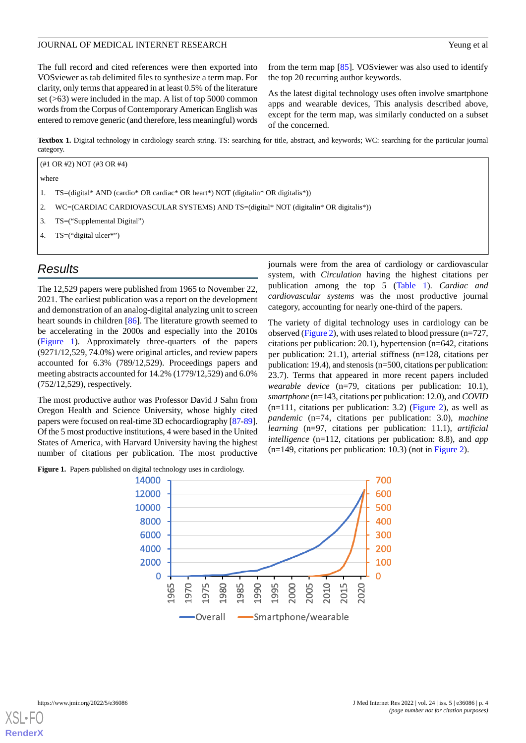The full record and cited references were then exported into VOSviewer as tab delimited files to synthesize a term map. For clarity, only terms that appeared in at least 0.5% of the literature set (>63) were included in the map. A list of top 5000 common words from the Corpus of Contemporary American English was entered to remove generic (and therefore, less meaningful) words from the term map [\[85](#page-14-1)]. VOSviewer was also used to identify the top 20 recurring author keywords.

As the latest digital technology uses often involve smartphone apps and wearable devices, This analysis described above, except for the term map, was similarly conducted on a subset of the concerned.

<span id="page-3-0"></span>**Textbox 1.** Digital technology in cardiology search string. TS: searching for title, abstract, and keywords; WC: searching for the particular journal category.

| $($ #1 OR #2) NOT (#3 OR #4) |                                                                                            |  |  |  |
|------------------------------|--------------------------------------------------------------------------------------------|--|--|--|
| where                        |                                                                                            |  |  |  |
|                              | $TS = (digital^* AND (cardio^* OR cardiac^* OR heart^*) NOT (digitalin^* OR digitalis^*))$ |  |  |  |
| 2.                           | $WC = (CARDIAC CARDIOVASCULAR SYSTEMS) AND TS = (digital* NOT (digitalin* OR digitalis*))$ |  |  |  |
| 3.                           | TS=("Supplemental Digital")                                                                |  |  |  |
| . 4.                         | $TS = ("digital ulcer^{(*)})$                                                              |  |  |  |
|                              |                                                                                            |  |  |  |

# *Results*

The 12,529 papers were published from 1965 to November 22, 2021. The earliest publication was a report on the development and demonstration of an analog-digital analyzing unit to screen heart sounds in children [[86\]](#page-14-2). The literature growth seemed to be accelerating in the 2000s and especially into the 2010s ([Figure 1\)](#page-3-1). Approximately three-quarters of the papers (9271/12,529, 74.0%) were original articles, and review papers accounted for 6.3% (789/12,529). Proceedings papers and meeting abstracts accounted for 14.2% (1779/12,529) and 6.0% (752/12,529), respectively.

<span id="page-3-1"></span>The most productive author was Professor David J Sahn from Oregon Health and Science University, whose highly cited papers were focused on real-time 3D echocardiography [[87-](#page-14-3)[89\]](#page-14-4). Of the 5 most productive institutions, 4 were based in the United States of America, with Harvard University having the highest number of citations per publication. The most productive

Figure 1. Papers published on digital technology uses in cardiology.

journals were from the area of cardiology or cardiovascular system, with *Circulation* having the highest citations per publication among the top 5 ([Table 1\)](#page-4-0). *Cardiac and cardiovascular systems* was the most productive journal category, accounting for nearly one-third of the papers.

The variety of digital technology uses in cardiology can be observed [\(Figure 2](#page-5-0)), with uses related to blood pressure (n=727, citations per publication: 20.1), hypertension (n=642, citations per publication: 21.1), arterial stiffness (n=128, citations per publication: 19.4), and stenosis (n=500, citations per publication: 23.7). Terms that appeared in more recent papers included *wearable device* (n=79, citations per publication: 10.1), *smartphone* (n=143, citations per publication: 12.0), and *COVID* (n=111, citations per publication: 3.2) [\(Figure 2\)](#page-5-0), as well as *pandemic* (n=74, citations per publication: 3.0), *machine learning* (n=97, citations per publication: 11.1), *artificial intelligence* (n=112, citations per publication: 8.8), and *app*  $(n=149,$  citations per publication: 10.3) (not in [Figure 2](#page-5-0)).



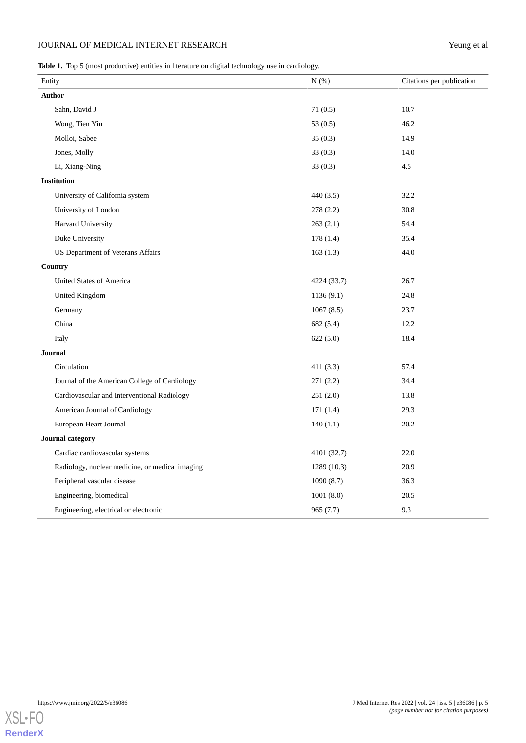# JOURNAL OF MEDICAL INTERNET RESEARCH

<span id="page-4-0"></span>Table 1. Top 5 (most productive) entities in literature on digital technology use in cardiology.

| Entity                                          | N(%)        | Citations per publication |  |  |  |
|-------------------------------------------------|-------------|---------------------------|--|--|--|
| <b>Author</b>                                   |             |                           |  |  |  |
| Sahn, David J                                   | 71(0.5)     | 10.7                      |  |  |  |
| Wong, Tien Yin                                  | 53 $(0.5)$  | 46.2                      |  |  |  |
| Molloi, Sabee                                   | 35(0.3)     | 14.9                      |  |  |  |
| Jones, Molly                                    | 33(0.3)     | 14.0                      |  |  |  |
| Li, Xiang-Ning                                  | 33(0.3)     | 4.5                       |  |  |  |
| <b>Institution</b>                              |             |                           |  |  |  |
| University of California system                 | 440(3.5)    | 32.2                      |  |  |  |
| University of London                            | 278(2.2)    | 30.8                      |  |  |  |
| Harvard University                              | 263(2.1)    | 54.4                      |  |  |  |
| Duke University                                 | 178(1.4)    | 35.4                      |  |  |  |
| US Department of Veterans Affairs               | 163(1.3)    | 44.0                      |  |  |  |
| Country                                         |             |                           |  |  |  |
| United States of America                        | 4224 (33.7) | 26.7                      |  |  |  |
| United Kingdom                                  | 1136(9.1)   | 24.8                      |  |  |  |
| Germany                                         | 1067(8.5)   | 23.7                      |  |  |  |
| China                                           | 682 (5.4)   | 12.2                      |  |  |  |
| Italy                                           | 622(5.0)    | 18.4                      |  |  |  |
| <b>Journal</b>                                  |             |                           |  |  |  |
| Circulation                                     | 411(3.3)    | 57.4                      |  |  |  |
| Journal of the American College of Cardiology   | 271(2.2)    | 34.4                      |  |  |  |
| Cardiovascular and Interventional Radiology     | 251(2.0)    | 13.8                      |  |  |  |
| American Journal of Cardiology                  | 171(1.4)    | 29.3                      |  |  |  |
| European Heart Journal                          | 140(1.1)    | 20.2                      |  |  |  |
| <b>Journal category</b>                         |             |                           |  |  |  |
| Cardiac cardiovascular systems                  | 4101 (32.7) | 22.0                      |  |  |  |
| Radiology, nuclear medicine, or medical imaging | 1289(10.3)  | 20.9                      |  |  |  |
| Peripheral vascular disease                     | 1090(8.7)   | 36.3                      |  |  |  |
| Engineering, biomedical                         | 1001(8.0)   | 20.5                      |  |  |  |
| Engineering, electrical or electronic           | 965(7.7)    | 9.3                       |  |  |  |

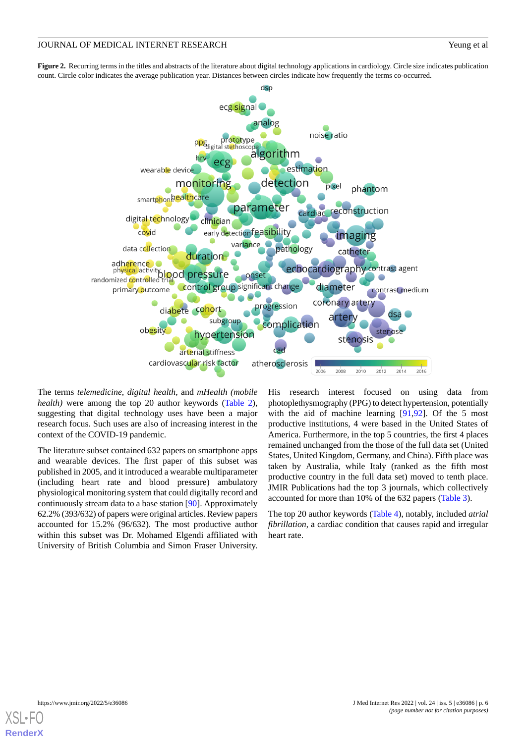<span id="page-5-0"></span>Figure 2. Recurring terms in the titles and abstracts of the literature about digital technology applications in cardiology. Circle size indicates publication count. Circle color indicates the average publication year. Distances between circles indicate how frequently the terms co-occurred.



The terms *telemedicine*, *digital health*, and *mHealth (mobile health*) were among the top 20 author keywords [\(Table 2\)](#page-6-0), suggesting that digital technology uses have been a major research focus. Such uses are also of increasing interest in the context of the COVID-19 pandemic.

The literature subset contained 632 papers on smartphone apps and wearable devices. The first paper of this subset was published in 2005, and it introduced a wearable multiparameter (including heart rate and blood pressure) ambulatory physiological monitoring system that could digitally record and continuously stream data to a base station [\[90](#page-14-5)]. Approximately 62.2% (393/632) of papers were original articles. Review papers accounted for 15.2% (96/632). The most productive author within this subset was Dr. Mohamed Elgendi affiliated with University of British Columbia and Simon Fraser University.

His research interest focused on using data from photoplethysmography (PPG) to detect hypertension, potentially with the aid of machine learning [[91](#page-14-6)[,92](#page-14-7)]. Of the 5 most productive institutions, 4 were based in the United States of America. Furthermore, in the top 5 countries, the first 4 places remained unchanged from the those of the full data set (United States, United Kingdom, Germany, and China). Fifth place was taken by Australia, while Italy (ranked as the fifth most productive country in the full data set) moved to tenth place. JMIR Publications had the top 3 journals, which collectively accounted for more than 10% of the 632 papers [\(Table 3\)](#page-7-0).

The top 20 author keywords ([Table 4](#page-8-0)), notably, included *atrial fibrillation*, a cardiac condition that causes rapid and irregular heart rate.

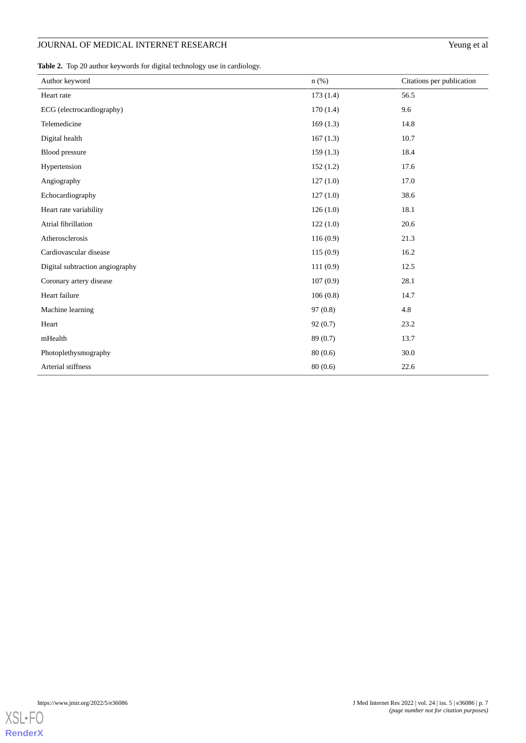# JOURNAL OF MEDICAL INTERNET RESEARCH Yeung et al

<span id="page-6-0"></span>

|  |  |  |  | Table 2. Top 20 author keywords for digital technology use in cardiology. |
|--|--|--|--|---------------------------------------------------------------------------|
|  |  |  |  |                                                                           |

| Author keyword                  | n(%)     | Citations per publication |
|---------------------------------|----------|---------------------------|
| Heart rate                      | 173(1.4) | 56.5                      |
| ECG (electrocardiography)       | 170(1.4) | 9.6                       |
| Telemedicine                    | 169(1.3) | 14.8                      |
| Digital health                  | 167(1.3) | 10.7                      |
| <b>Blood</b> pressure           | 159(1.3) | 18.4                      |
| Hypertension                    | 152(1.2) | 17.6                      |
| Angiography                     | 127(1.0) | 17.0                      |
| Echocardiography                | 127(1.0) | 38.6                      |
| Heart rate variability          | 126(1.0) | 18.1                      |
| Atrial fibrillation             | 122(1.0) | 20.6                      |
| Atherosclerosis                 | 116(0.9) | 21.3                      |
| Cardiovascular disease          | 115(0.9) | 16.2                      |
| Digital subtraction angiography | 111(0.9) | 12.5                      |
| Coronary artery disease         | 107(0.9) | 28.1                      |
| Heart failure                   | 106(0.8) | 14.7                      |
| Machine learning                | 97(0.8)  | 4.8                       |
| Heart                           | 92(0.7)  | 23.2                      |
| mHealth                         | 89 (0.7) | 13.7                      |
| Photoplethysmography            | 80(0.6)  | 30.0                      |
| Arterial stiffness              | 80(0.6)  | 22.6                      |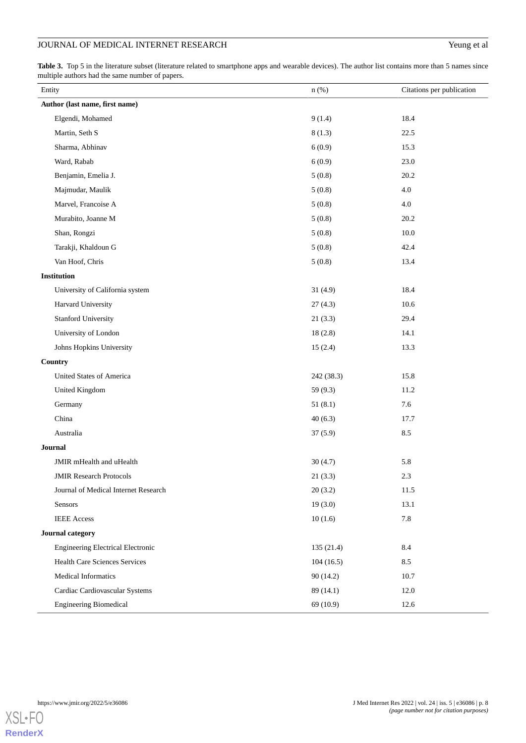# JOURNAL OF MEDICAL INTERNET RESEARCH Yeung et al

<span id="page-7-0"></span>Table 3. Top 5 in the literature subset (literature related to smartphone apps and wearable devices). The author list contains more than 5 names since multiple authors had the same number of papers.

| Entity                                   | $n$ (%)    | Citations per publication |
|------------------------------------------|------------|---------------------------|
| Author (last name, first name)           |            |                           |
| Elgendi, Mohamed                         | 9(1.4)     | 18.4                      |
| Martin, Seth S                           | 8(1.3)     | 22.5                      |
| Sharma, Abhinav                          | 6(0.9)     | 15.3                      |
| Ward, Rabab                              | 6(0.9)     | 23.0                      |
| Benjamin, Emelia J.                      | 5(0.8)     | 20.2                      |
| Majmudar, Maulik                         | 5(0.8)     | 4.0                       |
| Marvel, Francoise A                      | 5(0.8)     | 4.0                       |
| Murabito, Joanne M                       | 5(0.8)     | 20.2                      |
| Shan, Rongzi                             | 5(0.8)     | 10.0                      |
| Tarakji, Khaldoun G                      | 5(0.8)     | 42.4                      |
| Van Hoof, Chris                          | 5(0.8)     | 13.4                      |
| <b>Institution</b>                       |            |                           |
| University of California system          | 31(4.9)    | 18.4                      |
| Harvard University                       | 27(4.3)    | 10.6                      |
| <b>Stanford University</b>               | 21(3.3)    | 29.4                      |
| University of London                     | 18(2.8)    | 14.1                      |
| Johns Hopkins University                 | 15(2.4)    | 13.3                      |
| Country                                  |            |                           |
| United States of America                 | 242 (38.3) | 15.8                      |
| <b>United Kingdom</b>                    | 59 (9.3)   | 11.2                      |
| Germany                                  | 51(8.1)    | 7.6                       |
| China                                    | 40(6.3)    | 17.7                      |
| Australia                                | 37(5.9)    | 8.5                       |
| Journal                                  |            |                           |
| JMIR mHealth and uHealth                 | 30(4.7)    | 5.8                       |
| <b>JMIR Research Protocols</b>           | 21(3.3)    | $2.3\,$                   |
| Journal of Medical Internet Research     | 20(3.2)    | 11.5                      |
| Sensors                                  | 19(3.0)    | 13.1                      |
| <b>IEEE</b> Access                       | 10(1.6)    | 7.8                       |
| <b>Journal category</b>                  |            |                           |
| <b>Engineering Electrical Electronic</b> | 135 (21.4) | 8.4                       |
| <b>Health Care Sciences Services</b>     | 104(16.5)  | 8.5                       |
| Medical Informatics                      | 90(14.2)   | 10.7                      |
| Cardiac Cardiovascular Systems           | 89 (14.1)  | 12.0                      |
| <b>Engineering Biomedical</b>            | 69 (10.9)  | 12.6                      |

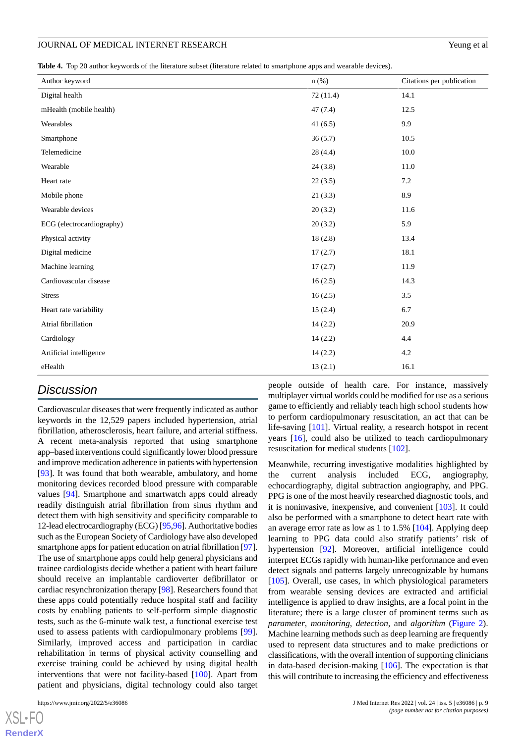#### JOURNAL OF MEDICAL INTERNET RESEARCH Yeung et al

<span id="page-8-0"></span>**Table 4.** Top 20 author keywords of the literature subset (literature related to smartphone apps and wearable devices).

| Author keyword            | $n$ (%)  | Citations per publication |
|---------------------------|----------|---------------------------|
| Digital health            | 72(11.4) | 14.1                      |
| mHealth (mobile health)   | 47(7.4)  | 12.5                      |
| Wearables                 | 41(6.5)  | 9.9                       |
| Smartphone                | 36(5.7)  | 10.5                      |
| Telemedicine              | 28(4.4)  | 10.0                      |
| Wearable                  | 24(3.8)  | 11.0                      |
| Heart rate                | 22(3.5)  | 7.2                       |
| Mobile phone              | 21(3.3)  | 8.9                       |
| Wearable devices          | 20(3.2)  | 11.6                      |
| ECG (electrocardiography) | 20(3.2)  | 5.9                       |
| Physical activity         | 18(2.8)  | 13.4                      |
| Digital medicine          | 17(2.7)  | 18.1                      |
| Machine learning          | 17(2.7)  | 11.9                      |
| Cardiovascular disease    | 16(2.5)  | 14.3                      |
| <b>Stress</b>             | 16(2.5)  | 3.5                       |
| Heart rate variability    | 15(2.4)  | 6.7                       |
| Atrial fibrillation       | 14(2.2)  | 20.9                      |
| Cardiology                | 14(2.2)  | 4.4                       |
| Artificial intelligence   | 14(2.2)  | 4.2                       |
| eHealth                   | 13(2.1)  | 16.1                      |

# *Discussion*

Cardiovascular diseases that were frequently indicated as author keywords in the 12,529 papers included hypertension, atrial fibrillation, atherosclerosis, heart failure, and arterial stiffness. A recent meta-analysis reported that using smartphone app–based interventions could significantly lower blood pressure and improve medication adherence in patients with hypertension [[93\]](#page-14-8). It was found that both wearable, ambulatory, and home monitoring devices recorded blood pressure with comparable values [[94\]](#page-14-9). Smartphone and smartwatch apps could already readily distinguish atrial fibrillation from sinus rhythm and detect them with high sensitivity and specificity comparable to 12-lead electrocardiography (ECG) [[95,](#page-14-10)[96\]](#page-14-11). Authoritative bodies such as the European Society of Cardiology have also developed smartphone apps for patient education on atrial fibrillation [[97\]](#page-14-12). The use of smartphone apps could help general physicians and trainee cardiologists decide whether a patient with heart failure should receive an implantable cardioverter defibrillator or cardiac resynchronization therapy [[98\]](#page-14-13). Researchers found that these apps could potentially reduce hospital staff and facility costs by enabling patients to self-perform simple diagnostic tests, such as the 6-minute walk test, a functional exercise test used to assess patients with cardiopulmonary problems [[99\]](#page-14-14). Similarly, improved access and participation in cardiac rehabilitation in terms of physical activity counselling and exercise training could be achieved by using digital health interventions that were not facility-based [\[100](#page-14-15)]. Apart from patient and physicians, digital technology could also target

 $XS$  • FC **[RenderX](http://www.renderx.com/)** people outside of health care. For instance, massively multiplayer virtual worlds could be modified for use as a serious game to efficiently and reliably teach high school students how to perform cardiopulmonary resuscitation, an act that can be life-saving [\[101](#page-14-16)]. Virtual reality, a research hotspot in recent years [\[16](#page-11-0)], could also be utilized to teach cardiopulmonary resuscitation for medical students [[102\]](#page-14-17).

Meanwhile, recurring investigative modalities highlighted by the current analysis included ECG, angiography, echocardiography, digital subtraction angiography, and PPG. PPG is one of the most heavily researched diagnostic tools, and it is noninvasive, inexpensive, and convenient [[103\]](#page-14-18). It could also be performed with a smartphone to detect heart rate with an average error rate as low as 1 to 1.5% [\[104\]](#page-14-19). Applying deep learning to PPG data could also stratify patients' risk of hypertension [[92\]](#page-14-7). Moreover, artificial intelligence could interpret ECGs rapidly with human-like performance and even detect signals and patterns largely unrecognizable by humans [[105\]](#page-15-0). Overall, use cases, in which physiological parameters from wearable sensing devices are extracted and artificial intelligence is applied to draw insights, are a focal point in the literature; there is a large cluster of prominent terms such as *parameter*, *monitoring*, *detection*, and *algorithm* ([Figure 2\)](#page-5-0). Machine learning methods such as deep learning are frequently used to represent data structures and to make predictions or classifications, with the overall intention of supporting clinicians in data-based decision-making [[106\]](#page-15-1). The expectation is that this will contribute to increasing the efficiency and effectiveness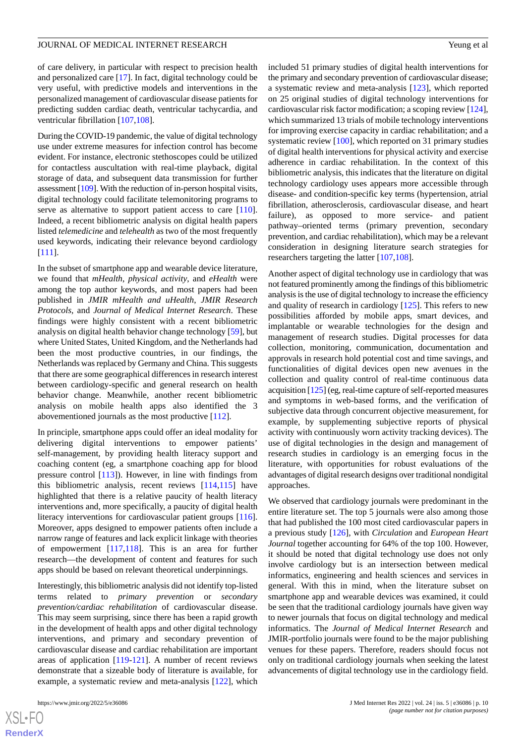of care delivery, in particular with respect to precision health and personalized care [\[17](#page-11-1)]. In fact, digital technology could be very useful, with predictive models and interventions in the personalized management of cardiovascular disease patients for predicting sudden cardiac death, ventricular tachycardia, and ventricular fibrillation [[107,](#page-15-2)[108](#page-15-3)].

During the COVID-19 pandemic, the value of digital technology use under extreme measures for infection control has become evident. For instance, electronic stethoscopes could be utilized for contactless auscultation with real-time playback, digital storage of data, and subsequent data transmission for further assessment [\[109\]](#page-15-4). With the reduction of in-person hospital visits, digital technology could facilitate telemonitoring programs to serve as alternative to support patient access to care [[110\]](#page-15-5). Indeed, a recent bibliometric analysis on digital health papers listed *telemedicine* and *telehealth* as two of the most frequently used keywords, indicating their relevance beyond cardiology [[111\]](#page-15-6).

In the subset of smartphone app and wearable device literature, we found that *mHealth*, *physical activity*, and *eHealth* were among the top author keywords, and most papers had been published in *JMIR mHealth and uHealth*, *JMIR Research Protocols*, and *Journal of Medical Internet Research*. These findings were highly consistent with a recent bibliometric analysis on digital health behavior change technology [\[59](#page-12-19)], but where United States, United Kingdom, and the Netherlands had been the most productive countries, in our findings, the Netherlands was replaced by Germany and China. This suggests that there are some geographical differences in research interest between cardiology-specific and general research on health behavior change. Meanwhile, another recent bibliometric analysis on mobile health apps also identified the 3 abovementioned journals as the most productive [\[112](#page-15-7)].

In principle, smartphone apps could offer an ideal modality for delivering digital interventions to empower patients' self-management, by providing health literacy support and coaching content (eg, a smartphone coaching app for blood pressure control [[113\]](#page-15-8)). However, in line with findings from this bibliometric analysis, recent reviews [[114](#page-15-9)[,115](#page-15-10)] have highlighted that there is a relative paucity of health literacy interventions and, more specifically, a paucity of digital health literacy interventions for cardiovascular patient groups [[116\]](#page-15-11). Moreover, apps designed to empower patients often include a narrow range of features and lack explicit linkage with theories of empowerment [\[117](#page-15-12),[118\]](#page-15-13). This is an area for further research—the development of content and features for such apps should be based on relevant theoretical underpinnings.

Interestingly, this bibliometric analysis did not identify top-listed terms related to *primary prevention* or *secondary prevention/cardiac rehabilitation* of cardiovascular disease. This may seem surprising, since there has been a rapid growth in the development of health apps and other digital technology interventions, and primary and secondary prevention of cardiovascular disease and cardiac rehabilitation are important areas of application [\[119](#page-15-14)-[121\]](#page-15-15). A number of recent reviews demonstrate that a sizeable body of literature is available, for example, a systematic review and meta-analysis [\[122](#page-15-16)], which

included 51 primary studies of digital health interventions for the primary and secondary prevention of cardiovascular disease; a systematic review and meta-analysis [\[123](#page-15-17)], which reported on 25 original studies of digital technology interventions for cardiovascular risk factor modification; a scoping review [\[124\]](#page-15-18), which summarized 13 trials of mobile technology interventions for improving exercise capacity in cardiac rehabilitation; and a systematic review [[100\]](#page-14-15), which reported on 31 primary studies of digital health interventions for physical activity and exercise adherence in cardiac rehabilitation. In the context of this bibliometric analysis, this indicates that the literature on digital technology cardiology uses appears more accessible through disease- and condition-specific key terms (hypertension, atrial fibrillation, atherosclerosis, cardiovascular disease, and heart failure), as opposed to more service- and patient pathway–oriented terms (primary prevention, secondary prevention, and cardiac rehabilitation), which may be a relevant consideration in designing literature search strategies for researchers targeting the latter [\[107](#page-15-2),[108\]](#page-15-3).

Another aspect of digital technology use in cardiology that was not featured prominently among the findings of this bibliometric analysis is the use of digital technology to increase the efficiency and quality of research in cardiology  $[125]$  $[125]$ . This refers to new possibilities afforded by mobile apps, smart devices, and implantable or wearable technologies for the design and management of research studies. Digital processes for data collection, monitoring, communication, documentation and approvals in research hold potential cost and time savings, and functionalities of digital devices open new avenues in the collection and quality control of real-time continuous data acquisition [\[125\]](#page-15-19) (eg, real-time capture of self-reported measures and symptoms in web-based forms, and the verification of subjective data through concurrent objective measurement, for example, by supplementing subjective reports of physical activity with continuously worn activity tracking devices). The use of digital technologies in the design and management of research studies in cardiology is an emerging focus in the literature, with opportunities for robust evaluations of the advantages of digital research designs over traditional nondigital approaches.

We observed that cardiology journals were predominant in the entire literature set. The top 5 journals were also among those that had published the 100 most cited cardiovascular papers in a previous study [\[126](#page-16-0)], with *Circulation* and *European Heart Journal* together accounting for 64% of the top 100. However, it should be noted that digital technology use does not only involve cardiology but is an intersection between medical informatics, engineering and health sciences and services in general. With this in mind, when the literature subset on smartphone app and wearable devices was examined, it could be seen that the traditional cardiology journals have given way to newer journals that focus on digital technology and medical informatics. The *Journal of Medical Internet Research* and JMIR-portfolio journals were found to be the major publishing venues for these papers. Therefore, readers should focus not only on traditional cardiology journals when seeking the latest advancements of digital technology use in the cardiology field.

```
XS-FO
RenderX
```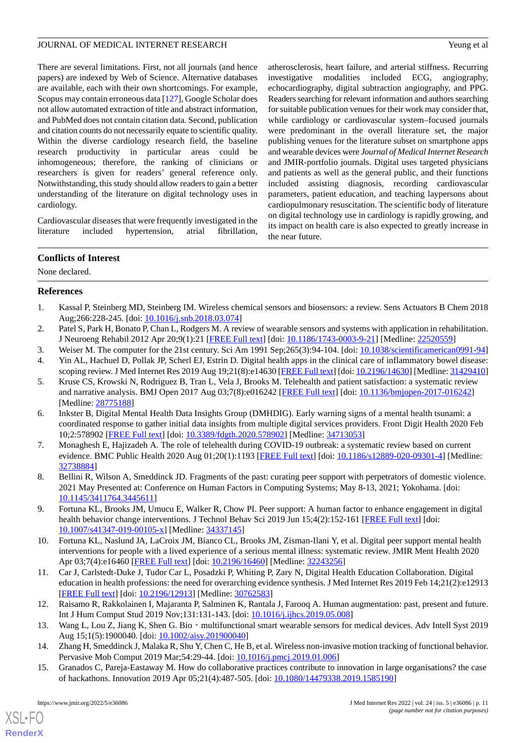There are several limitations. First, not all journals (and hence papers) are indexed by Web of Science. Alternative databases are available, each with their own shortcomings. For example, Scopus may contain erroneous data [[127\]](#page-16-1), Google Scholar does not allow automated extraction of title and abstract information, and PubMed does not contain citation data. Second, publication and citation counts do not necessarily equate to scientific quality. Within the diverse cardiology research field, the baseline research productivity in particular areas could be inhomogeneous; therefore, the ranking of clinicians or researchers is given for readers' general reference only. Notwithstanding, this study should allow readers to gain a better understanding of the literature on digital technology uses in cardiology.

Cardiovascular diseases that were frequently investigated in the literature included hypertension, atrial fibrillation,

atherosclerosis, heart failure, and arterial stiffness. Recurring investigative modalities included ECG, angiography, echocardiography, digital subtraction angiography, and PPG. Readers searching for relevant information and authors searching for suitable publication venues for their work may consider that, while cardiology or cardiovascular system–focused journals were predominant in the overall literature set, the major publishing venues for the literature subset on smartphone apps and wearable devices were *Journal of Medical Internet Research* and JMIR-portfolio journals. Digital uses targeted physicians and patients as well as the general public, and their functions included assisting diagnosis, recording cardiovascular parameters, patient education, and teaching laypersons about cardiopulmonary resuscitation. The scientific body of literature on digital technology use in cardiology is rapidly growing, and its impact on health care is also expected to greatly increase in the near future.

## **Conflicts of Interest**

<span id="page-10-0"></span>None declared.

## <span id="page-10-1"></span>**References**

- <span id="page-10-2"></span>1. Kassal P, Steinberg MD, Steinberg IM. Wireless chemical sensors and biosensors: a review. Sens Actuators B Chem 2018 Aug;266:228-245. [doi: [10.1016/j.snb.2018.03.074\]](http://dx.doi.org/10.1016/j.snb.2018.03.074)
- <span id="page-10-3"></span>2. Patel S, Park H, Bonato P, Chan L, Rodgers M. A review of wearable sensors and systems with application in rehabilitation. J Neuroeng Rehabil 2012 Apr 20;9(1):21 [\[FREE Full text\]](https://jneuroengrehab.biomedcentral.com/articles/10.1186/1743-0003-9-21) [doi: [10.1186/1743-0003-9-21\]](http://dx.doi.org/10.1186/1743-0003-9-21) [Medline: [22520559\]](http://www.ncbi.nlm.nih.gov/entrez/query.fcgi?cmd=Retrieve&db=PubMed&list_uids=22520559&dopt=Abstract)
- <span id="page-10-4"></span>3. Weiser M. The computer for the 21st century. Sci Am 1991 Sep;265(3):94-104. [doi: [10.1038/scientificamerican0991-94](http://dx.doi.org/10.1038/scientificamerican0991-94)]
- 4. Yin AL, Hachuel D, Pollak JP, Scherl EJ, Estrin D. Digital health apps in the clinical care of inflammatory bowel disease: scoping review. J Med Internet Res 2019 Aug 19;21(8):e14630 [\[FREE Full text](https://www.jmir.org/2019/8/e14630/)] [doi: [10.2196/14630](http://dx.doi.org/10.2196/14630)] [Medline: [31429410\]](http://www.ncbi.nlm.nih.gov/entrez/query.fcgi?cmd=Retrieve&db=PubMed&list_uids=31429410&dopt=Abstract)
- <span id="page-10-5"></span>5. Kruse CS, Krowski N, Rodriguez B, Tran L, Vela J, Brooks M. Telehealth and patient satisfaction: a systematic review and narrative analysis. BMJ Open 2017 Aug 03;7(8):e016242 [\[FREE Full text\]](https://bmjopen.bmj.com/lookup/pmidlookup?view=long&pmid=28775188) [doi: [10.1136/bmjopen-2017-016242\]](http://dx.doi.org/10.1136/bmjopen-2017-016242) [Medline: [28775188](http://www.ncbi.nlm.nih.gov/entrez/query.fcgi?cmd=Retrieve&db=PubMed&list_uids=28775188&dopt=Abstract)]
- <span id="page-10-6"></span>6. Inkster B, Digital Mental Health Data Insights Group (DMHDIG). Early warning signs of a mental health tsunami: a coordinated response to gather initial data insights from multiple digital services providers. Front Digit Health 2020 Feb 10;2:578902 [[FREE Full text](http://europepmc.org/abstract/MED/34713053)] [doi: [10.3389/fdgth.2020.578902\]](http://dx.doi.org/10.3389/fdgth.2020.578902) [Medline: [34713053\]](http://www.ncbi.nlm.nih.gov/entrez/query.fcgi?cmd=Retrieve&db=PubMed&list_uids=34713053&dopt=Abstract)
- <span id="page-10-7"></span>7. Monaghesh E, Hajizadeh A. The role of telehealth during COVID-19 outbreak: a systematic review based on current evidence. BMC Public Health 2020 Aug 01;20(1):1193 [\[FREE Full text](https://bmcpublichealth.biomedcentral.com/articles/10.1186/s12889-020-09301-4)] [doi: [10.1186/s12889-020-09301-4\]](http://dx.doi.org/10.1186/s12889-020-09301-4) [Medline: [32738884](http://www.ncbi.nlm.nih.gov/entrez/query.fcgi?cmd=Retrieve&db=PubMed&list_uids=32738884&dopt=Abstract)]
- <span id="page-10-8"></span>8. Bellini R, Wilson A, Smeddinck JD. Fragments of the past: curating peer support with perpetrators of domestic violence. 2021 May Presented at: Conference on Human Factors in Computing Systems; May 8-13, 2021; Yokohama. [doi: [10.1145/3411764.3445611](http://dx.doi.org/10.1145/3411764.3445611)]
- <span id="page-10-9"></span>9. Fortuna KL, Brooks JM, Umucu E, Walker R, Chow PI. Peer support: A human factor to enhance engagement in digital health behavior change interventions. J Technol Behav Sci 2019 Jun 15;4(2):152-161 [[FREE Full text](http://europepmc.org/abstract/MED/34337145)] [doi: [10.1007/s41347-019-00105-x\]](http://dx.doi.org/10.1007/s41347-019-00105-x) [Medline: [34337145\]](http://www.ncbi.nlm.nih.gov/entrez/query.fcgi?cmd=Retrieve&db=PubMed&list_uids=34337145&dopt=Abstract)
- <span id="page-10-10"></span>10. Fortuna KL, Naslund JA, LaCroix JM, Bianco CL, Brooks JM, Zisman-Ilani Y, et al. Digital peer support mental health interventions for people with a lived experience of a serious mental illness: systematic review. JMIR Ment Health 2020 Apr 03;7(4):e16460 [\[FREE Full text](https://mental.jmir.org/2020/4/e16460/)] [doi: [10.2196/16460\]](http://dx.doi.org/10.2196/16460) [Medline: [32243256\]](http://www.ncbi.nlm.nih.gov/entrez/query.fcgi?cmd=Retrieve&db=PubMed&list_uids=32243256&dopt=Abstract)
- <span id="page-10-12"></span><span id="page-10-11"></span>11. Car J, Carlstedt-Duke J, Tudor Car L, Posadzki P, Whiting P, Zary N, Digital Health Education Collaboration. Digital education in health professions: the need for overarching evidence synthesis. J Med Internet Res 2019 Feb 14;21(2):e12913 [[FREE Full text](https://www.jmir.org/2019/2/e12913/)] [doi: [10.2196/12913\]](http://dx.doi.org/10.2196/12913) [Medline: [30762583\]](http://www.ncbi.nlm.nih.gov/entrez/query.fcgi?cmd=Retrieve&db=PubMed&list_uids=30762583&dopt=Abstract)
- <span id="page-10-13"></span>12. Raisamo R, Rakkolainen I, Majaranta P, Salminen K, Rantala J, Farooq A. Human augmentation: past, present and future. Int J Hum Comput Stud 2019 Nov;131:131-143. [doi: [10.1016/j.ijhcs.2019.05.008](http://dx.doi.org/10.1016/j.ijhcs.2019.05.008)]
- 13. Wang L, Lou Z, Jiang K, Shen G. Bio multifunctional smart wearable sensors for medical devices. Adv Intell Syst 2019 Aug 15;1(5):1900040. [doi: [10.1002/aisy.201900040](http://dx.doi.org/10.1002/aisy.201900040)]
- 14. Zhang H, Smeddinck J, Malaka R, Shu Y, Chen C, He B, et al. Wireless non-invasive motion tracking of functional behavior. Pervasive Mob Comput 2019 Mar;54:29-44. [doi: [10.1016/j.pmcj.2019.01.006\]](http://dx.doi.org/10.1016/j.pmcj.2019.01.006)
- 15. Granados C, Pareja-Eastaway M. How do collaborative practices contribute to innovation in large organisations? the case of hackathons. Innovation 2019 Apr 05;21(4):487-505. [doi: [10.1080/14479338.2019.1585190\]](http://dx.doi.org/10.1080/14479338.2019.1585190)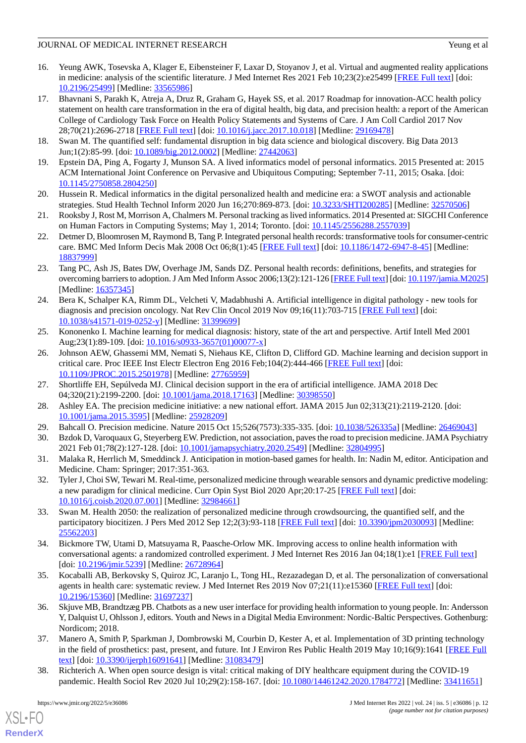- <span id="page-11-0"></span>16. Yeung AWK, Tosevska A, Klager E, Eibensteiner F, Laxar D, Stoyanov J, et al. Virtual and augmented reality applications in medicine: analysis of the scientific literature. J Med Internet Res 2021 Feb 10;23(2):e25499 [[FREE Full text](https://www.jmir.org/2021/2/e25499/)] [doi: [10.2196/25499\]](http://dx.doi.org/10.2196/25499) [Medline: [33565986\]](http://www.ncbi.nlm.nih.gov/entrez/query.fcgi?cmd=Retrieve&db=PubMed&list_uids=33565986&dopt=Abstract)
- <span id="page-11-1"></span>17. Bhavnani S, Parakh K, Atreja A, Druz R, Graham G, Hayek SS, et al. 2017 Roadmap for innovation-ACC health policy statement on health care transformation in the era of digital health, big data, and precision health: a report of the American College of Cardiology Task Force on Health Policy Statements and Systems of Care. J Am Coll Cardiol 2017 Nov 28;70(21):2696-2718 [[FREE Full text](https://linkinghub.elsevier.com/retrieve/pii/S0735-1097(17)41115-6)] [doi: [10.1016/j.jacc.2017.10.018\]](http://dx.doi.org/10.1016/j.jacc.2017.10.018) [Medline: [29169478](http://www.ncbi.nlm.nih.gov/entrez/query.fcgi?cmd=Retrieve&db=PubMed&list_uids=29169478&dopt=Abstract)]
- <span id="page-11-3"></span><span id="page-11-2"></span>18. Swan M. The quantified self: fundamental disruption in big data science and biological discovery. Big Data 2013 Jun;1(2):85-99. [doi: [10.1089/big.2012.0002](http://dx.doi.org/10.1089/big.2012.0002)] [Medline: [27442063](http://www.ncbi.nlm.nih.gov/entrez/query.fcgi?cmd=Retrieve&db=PubMed&list_uids=27442063&dopt=Abstract)]
- 19. Epstein DA, Ping A, Fogarty J, Munson SA. A lived informatics model of personal informatics. 2015 Presented at: 2015 ACM International Joint Conference on Pervasive and Ubiquitous Computing; September 7-11, 2015; Osaka. [doi: [10.1145/2750858.2804250](http://dx.doi.org/10.1145/2750858.2804250)]
- <span id="page-11-4"></span>20. Hussein R. Medical informatics in the digital personalized health and medicine era: a SWOT analysis and actionable strategies. Stud Health Technol Inform 2020 Jun 16;270:869-873. [doi: [10.3233/SHTI200285\]](http://dx.doi.org/10.3233/SHTI200285) [Medline: [32570506](http://www.ncbi.nlm.nih.gov/entrez/query.fcgi?cmd=Retrieve&db=PubMed&list_uids=32570506&dopt=Abstract)]
- <span id="page-11-5"></span>21. Rooksby J, Rost M, Morrison A, Chalmers M. Personal tracking as lived informatics. 2014 Presented at: SIGCHI Conference on Human Factors in Computing Systems; May 1, 2014; Toronto. [doi: [10.1145/2556288.2557039\]](http://dx.doi.org/10.1145/2556288.2557039)
- <span id="page-11-6"></span>22. Detmer D, Bloomrosen M, Raymond B, Tang P. Integrated personal health records: transformative tools for consumer-centric care. BMC Med Inform Decis Mak 2008 Oct 06;8(1):45 [[FREE Full text](https://bmcmedinformdecismak.biomedcentral.com/articles/10.1186/1472-6947-8-45)] [doi: [10.1186/1472-6947-8-45\]](http://dx.doi.org/10.1186/1472-6947-8-45) [Medline: [18837999](http://www.ncbi.nlm.nih.gov/entrez/query.fcgi?cmd=Retrieve&db=PubMed&list_uids=18837999&dopt=Abstract)]
- <span id="page-11-7"></span>23. Tang PC, Ash JS, Bates DW, Overhage JM, Sands DZ. Personal health records: definitions, benefits, and strategies for overcoming barriers to adoption. J Am Med Inform Assoc 2006;13(2):121-126 [[FREE Full text](http://europepmc.org/abstract/MED/16357345)] [doi: [10.1197/jamia.M2025](http://dx.doi.org/10.1197/jamia.M2025)] [Medline: [16357345](http://www.ncbi.nlm.nih.gov/entrez/query.fcgi?cmd=Retrieve&db=PubMed&list_uids=16357345&dopt=Abstract)]
- <span id="page-11-8"></span>24. Bera K, Schalper KA, Rimm DL, Velcheti V, Madabhushi A. Artificial intelligence in digital pathology - new tools for diagnosis and precision oncology. Nat Rev Clin Oncol 2019 Nov 09;16(11):703-715 [[FREE Full text](http://europepmc.org/abstract/MED/31399699)] [doi: [10.1038/s41571-019-0252-y\]](http://dx.doi.org/10.1038/s41571-019-0252-y) [Medline: [31399699](http://www.ncbi.nlm.nih.gov/entrez/query.fcgi?cmd=Retrieve&db=PubMed&list_uids=31399699&dopt=Abstract)]
- <span id="page-11-9"></span>25. Kononenko I. Machine learning for medical diagnosis: history, state of the art and perspective. Artif Intell Med 2001 Aug;23(1):89-109. [doi: [10.1016/s0933-3657\(01\)00077-x](http://dx.doi.org/10.1016/s0933-3657(01)00077-x)]
- <span id="page-11-11"></span><span id="page-11-10"></span>26. Johnson AEW, Ghassemi MM, Nemati S, Niehaus KE, Clifton D, Clifford GD. Machine learning and decision support in critical care. Proc IEEE Inst Electr Electron Eng 2016 Feb;104(2):444-466 [\[FREE Full text\]](http://europepmc.org/abstract/MED/27765959) [doi: [10.1109/JPROC.2015.2501978](http://dx.doi.org/10.1109/JPROC.2015.2501978)] [Medline: [27765959](http://www.ncbi.nlm.nih.gov/entrez/query.fcgi?cmd=Retrieve&db=PubMed&list_uids=27765959&dopt=Abstract)]
- <span id="page-11-13"></span><span id="page-11-12"></span>27. Shortliffe EH, Sepúlveda MJ. Clinical decision support in the era of artificial intelligence. JAMA 2018 Dec 04;320(21):2199-2200. [doi: [10.1001/jama.2018.17163](http://dx.doi.org/10.1001/jama.2018.17163)] [Medline: [30398550\]](http://www.ncbi.nlm.nih.gov/entrez/query.fcgi?cmd=Retrieve&db=PubMed&list_uids=30398550&dopt=Abstract)
- <span id="page-11-14"></span>28. Ashley EA. The precision medicine initiative: a new national effort. JAMA 2015 Jun 02;313(21):2119-2120. [doi: [10.1001/jama.2015.3595](http://dx.doi.org/10.1001/jama.2015.3595)] [Medline: [25928209](http://www.ncbi.nlm.nih.gov/entrez/query.fcgi?cmd=Retrieve&db=PubMed&list_uids=25928209&dopt=Abstract)]
- 29. Bahcall O. Precision medicine. Nature 2015 Oct 15;526(7573):335-335. [doi: [10.1038/526335a\]](http://dx.doi.org/10.1038/526335a) [Medline: [26469043\]](http://www.ncbi.nlm.nih.gov/entrez/query.fcgi?cmd=Retrieve&db=PubMed&list_uids=26469043&dopt=Abstract)
- <span id="page-11-15"></span>30. Bzdok D, Varoquaux G, Steyerberg EW. Prediction, not association, paves the road to precision medicine. JAMA Psychiatry 2021 Feb 01;78(2):127-128. [doi: [10.1001/jamapsychiatry.2020.2549](http://dx.doi.org/10.1001/jamapsychiatry.2020.2549)] [Medline: [32804995\]](http://www.ncbi.nlm.nih.gov/entrez/query.fcgi?cmd=Retrieve&db=PubMed&list_uids=32804995&dopt=Abstract)
- <span id="page-11-16"></span>31. Malaka R, Herrlich M, Smeddinck J. Anticipation in motion-based games for health. In: Nadin M, editor. Anticipation and Medicine. Cham: Springer; 2017:351-363.
- <span id="page-11-17"></span>32. Tyler J, Choi SW, Tewari M. Real-time, personalized medicine through wearable sensors and dynamic predictive modeling: a new paradigm for clinical medicine. Curr Opin Syst Biol 2020 Apr;20:17-25 [[FREE Full text](http://europepmc.org/abstract/MED/32984661)] [doi: [10.1016/j.coisb.2020.07.001](http://dx.doi.org/10.1016/j.coisb.2020.07.001)] [Medline: [32984661](http://www.ncbi.nlm.nih.gov/entrez/query.fcgi?cmd=Retrieve&db=PubMed&list_uids=32984661&dopt=Abstract)]
- 33. Swan M. Health 2050: the realization of personalized medicine through crowdsourcing, the quantified self, and the participatory biocitizen. J Pers Med 2012 Sep 12;2(3):93-118 [[FREE Full text](https://www.mdpi.com/resolver?pii=jpm2030093)] [doi: [10.3390/jpm2030093](http://dx.doi.org/10.3390/jpm2030093)] [Medline: [25562203](http://www.ncbi.nlm.nih.gov/entrez/query.fcgi?cmd=Retrieve&db=PubMed&list_uids=25562203&dopt=Abstract)]
- <span id="page-11-18"></span>34. Bickmore TW, Utami D, Matsuyama R, Paasche-Orlow MK. Improving access to online health information with conversational agents: a randomized controlled experiment. J Med Internet Res 2016 Jan 04;18(1):e1 [\[FREE Full text\]](https://www.jmir.org/2016/1/e1/) [doi: [10.2196/jmir.5239\]](http://dx.doi.org/10.2196/jmir.5239) [Medline: [26728964\]](http://www.ncbi.nlm.nih.gov/entrez/query.fcgi?cmd=Retrieve&db=PubMed&list_uids=26728964&dopt=Abstract)
- <span id="page-11-19"></span>35. Kocaballi AB, Berkovsky S, Quiroz JC, Laranjo L, Tong HL, Rezazadegan D, et al. The personalization of conversational agents in health care: systematic review. J Med Internet Res 2019 Nov 07;21(11):e15360 [\[FREE Full text\]](https://www.jmir.org/2019/11/e15360/) [doi: [10.2196/15360\]](http://dx.doi.org/10.2196/15360) [Medline: [31697237\]](http://www.ncbi.nlm.nih.gov/entrez/query.fcgi?cmd=Retrieve&db=PubMed&list_uids=31697237&dopt=Abstract)
- <span id="page-11-20"></span>36. Skjuve MB, Brandtzæg PB. Chatbots as a new user interface for providing health information to young people. In: Andersson Y, Dalquist U, Ohlsson J, editors. Youth and News in a Digital Media Environment: Nordic-Baltic Perspectives. Gothenburg: Nordicom; 2018.
- 37. Manero A, Smith P, Sparkman J, Dombrowski M, Courbin D, Kester A, et al. Implementation of 3D printing technology in the field of prosthetics: past, present, and future. Int J Environ Res Public Health 2019 May 10;16(9):1641 [[FREE Full](https://www.mdpi.com/resolver?pii=ijerph16091641) [text](https://www.mdpi.com/resolver?pii=ijerph16091641)] [doi: [10.3390/ijerph16091641](http://dx.doi.org/10.3390/ijerph16091641)] [Medline: [31083479\]](http://www.ncbi.nlm.nih.gov/entrez/query.fcgi?cmd=Retrieve&db=PubMed&list_uids=31083479&dopt=Abstract)
- 38. Richterich A. When open source design is vital: critical making of DIY healthcare equipment during the COVID-19 pandemic. Health Sociol Rev 2020 Jul 10;29(2):158-167. [doi: [10.1080/14461242.2020.1784772\]](http://dx.doi.org/10.1080/14461242.2020.1784772) [Medline: [33411651\]](http://www.ncbi.nlm.nih.gov/entrez/query.fcgi?cmd=Retrieve&db=PubMed&list_uids=33411651&dopt=Abstract)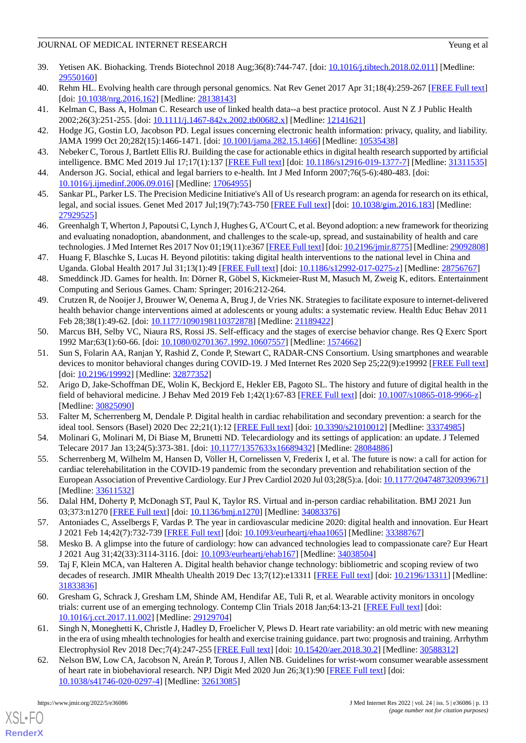- <span id="page-12-0"></span>39. Yetisen AK. Biohacking. Trends Biotechnol 2018 Aug;36(8):744-747. [doi: [10.1016/j.tibtech.2018.02.011](http://dx.doi.org/10.1016/j.tibtech.2018.02.011)] [Medline: [29550160](http://www.ncbi.nlm.nih.gov/entrez/query.fcgi?cmd=Retrieve&db=PubMed&list_uids=29550160&dopt=Abstract)]
- <span id="page-12-2"></span><span id="page-12-1"></span>40. Rehm HL. Evolving health care through personal genomics. Nat Rev Genet 2017 Apr 31;18(4):259-267 [\[FREE Full text\]](http://europepmc.org/abstract/MED/28138143) [doi: [10.1038/nrg.2016.162](http://dx.doi.org/10.1038/nrg.2016.162)] [Medline: [28138143](http://www.ncbi.nlm.nih.gov/entrez/query.fcgi?cmd=Retrieve&db=PubMed&list_uids=28138143&dopt=Abstract)]
- <span id="page-12-3"></span>41. Kelman C, Bass A, Holman C. Research use of linked health data--a best practice protocol. Aust N Z J Public Health 2002;26(3):251-255. [doi: [10.1111/j.1467-842x.2002.tb00682.x\]](http://dx.doi.org/10.1111/j.1467-842x.2002.tb00682.x) [Medline: [12141621](http://www.ncbi.nlm.nih.gov/entrez/query.fcgi?cmd=Retrieve&db=PubMed&list_uids=12141621&dopt=Abstract)]
- <span id="page-12-4"></span>42. Hodge JG, Gostin LO, Jacobson PD. Legal issues concerning electronic health information: privacy, quality, and liability. JAMA 1999 Oct 20;282(15):1466-1471. [doi: [10.1001/jama.282.15.1466](http://dx.doi.org/10.1001/jama.282.15.1466)] [Medline: [10535438](http://www.ncbi.nlm.nih.gov/entrez/query.fcgi?cmd=Retrieve&db=PubMed&list_uids=10535438&dopt=Abstract)]
- <span id="page-12-5"></span>43. Nebeker C, Torous J, Bartlett Ellis RJ. Building the case for actionable ethics in digital health research supported by artificial intelligence. BMC Med 2019 Jul 17;17(1):137 [\[FREE Full text\]](https://bmcmedicine.biomedcentral.com/articles/10.1186/s12916-019-1377-7) [doi: [10.1186/s12916-019-1377-7](http://dx.doi.org/10.1186/s12916-019-1377-7)] [Medline: [31311535](http://www.ncbi.nlm.nih.gov/entrez/query.fcgi?cmd=Retrieve&db=PubMed&list_uids=31311535&dopt=Abstract)]
- <span id="page-12-6"></span>44. Anderson JG. Social, ethical and legal barriers to e-health. Int J Med Inform 2007;76(5-6):480-483. [doi: [10.1016/j.ijmedinf.2006.09.016\]](http://dx.doi.org/10.1016/j.ijmedinf.2006.09.016) [Medline: [17064955](http://www.ncbi.nlm.nih.gov/entrez/query.fcgi?cmd=Retrieve&db=PubMed&list_uids=17064955&dopt=Abstract)]
- <span id="page-12-7"></span>45. Sankar PL, Parker LS. The Precision Medicine Initiative's All of Us research program: an agenda for research on its ethical, legal, and social issues. Genet Med 2017 Jul;19(7):743-750 [\[FREE Full text\]](https://linkinghub.elsevier.com/retrieve/pii/S1098-3600(21)02228-0) [doi: [10.1038/gim.2016.183\]](http://dx.doi.org/10.1038/gim.2016.183) [Medline: [27929525](http://www.ncbi.nlm.nih.gov/entrez/query.fcgi?cmd=Retrieve&db=PubMed&list_uids=27929525&dopt=Abstract)]
- <span id="page-12-8"></span>46. Greenhalgh T, Wherton J, Papoutsi C, Lynch J, Hughes G, A'Court C, et al. Beyond adoption: a new framework for theorizing and evaluating nonadoption, abandonment, and challenges to the scale-up, spread, and sustainability of health and care technologies. J Med Internet Res 2017 Nov 01;19(11):e367 [[FREE Full text\]](https://www.jmir.org/2017/11/e367/) [doi: [10.2196/jmir.8775](http://dx.doi.org/10.2196/jmir.8775)] [Medline: [29092808\]](http://www.ncbi.nlm.nih.gov/entrez/query.fcgi?cmd=Retrieve&db=PubMed&list_uids=29092808&dopt=Abstract)
- <span id="page-12-9"></span>47. Huang F, Blaschke S, Lucas H. Beyond pilotitis: taking digital health interventions to the national level in China and Uganda. Global Health 2017 Jul 31;13(1):49 [\[FREE Full text\]](https://globalizationandhealth.biomedcentral.com/articles/10.1186/s12992-017-0275-z) [doi: [10.1186/s12992-017-0275-z](http://dx.doi.org/10.1186/s12992-017-0275-z)] [Medline: [28756767](http://www.ncbi.nlm.nih.gov/entrez/query.fcgi?cmd=Retrieve&db=PubMed&list_uids=28756767&dopt=Abstract)]
- <span id="page-12-10"></span>48. Smeddinck JD. Games for health. In: Dörner R, Göbel S, Kickmeier-Rust M, Masuch M, Zweig K, editors. Entertainment Computing and Serious Games. Cham: Springer; 2016:212-264.
- 49. Crutzen R, de Nooijer J, Brouwer W, Oenema A, Brug J, de Vries NK. Strategies to facilitate exposure to internet-delivered health behavior change interventions aimed at adolescents or young adults: a systematic review. Health Educ Behav 2011 Feb 28;38(1):49-62. [doi: [10.1177/1090198110372878](http://dx.doi.org/10.1177/1090198110372878)] [Medline: [21189422](http://www.ncbi.nlm.nih.gov/entrez/query.fcgi?cmd=Retrieve&db=PubMed&list_uids=21189422&dopt=Abstract)]
- <span id="page-12-11"></span>50. Marcus BH, Selby VC, Niaura RS, Rossi JS. Self-efficacy and the stages of exercise behavior change. Res Q Exerc Sport 1992 Mar;63(1):60-66. [doi: [10.1080/02701367.1992.10607557\]](http://dx.doi.org/10.1080/02701367.1992.10607557) [Medline: [1574662\]](http://www.ncbi.nlm.nih.gov/entrez/query.fcgi?cmd=Retrieve&db=PubMed&list_uids=1574662&dopt=Abstract)
- <span id="page-12-12"></span>51. Sun S, Folarin AA, Ranjan Y, Rashid Z, Conde P, Stewart C, RADAR-CNS Consortium. Using smartphones and wearable devices to monitor behavioral changes during COVID-19. J Med Internet Res 2020 Sep 25;22(9):e19992 [\[FREE Full text](https://www.jmir.org/2020/9/e19992/)] [doi: [10.2196/19992](http://dx.doi.org/10.2196/19992)] [Medline: [32877352\]](http://www.ncbi.nlm.nih.gov/entrez/query.fcgi?cmd=Retrieve&db=PubMed&list_uids=32877352&dopt=Abstract)
- <span id="page-12-14"></span><span id="page-12-13"></span>52. Arigo D, Jake-Schoffman DE, Wolin K, Beckjord E, Hekler EB, Pagoto SL. The history and future of digital health in the field of behavioral medicine. J Behav Med 2019 Feb 1;42(1):67-83 [[FREE Full text](http://europepmc.org/abstract/MED/30825090)] [doi: [10.1007/s10865-018-9966-z\]](http://dx.doi.org/10.1007/s10865-018-9966-z) [Medline: [30825090](http://www.ncbi.nlm.nih.gov/entrez/query.fcgi?cmd=Retrieve&db=PubMed&list_uids=30825090&dopt=Abstract)]
- <span id="page-12-15"></span>53. Falter M, Scherrenberg M, Dendale P. Digital health in cardiac rehabilitation and secondary prevention: a search for the ideal tool. Sensors (Basel) 2020 Dec 22;21(1):12 [\[FREE Full text\]](https://www.mdpi.com/resolver?pii=s21010012) [doi: [10.3390/s21010012\]](http://dx.doi.org/10.3390/s21010012) [Medline: [33374985\]](http://www.ncbi.nlm.nih.gov/entrez/query.fcgi?cmd=Retrieve&db=PubMed&list_uids=33374985&dopt=Abstract)
- 54. Molinari G, Molinari M, Di Biase M, Brunetti ND. Telecardiology and its settings of application: an update. J Telemed Telecare 2017 Jan 13;24(5):373-381. [doi: [10.1177/1357633x16689432](http://dx.doi.org/10.1177/1357633x16689432)] [Medline: [28084886](http://www.ncbi.nlm.nih.gov/entrez/query.fcgi?cmd=Retrieve&db=PubMed&list_uids=28084886&dopt=Abstract)]
- <span id="page-12-17"></span><span id="page-12-16"></span>55. Scherrenberg M, Wilhelm M, Hansen D, Völler H, Cornelissen V, Frederix I, et al. The future is now: a call for action for cardiac telerehabilitation in the COVID-19 pandemic from the secondary prevention and rehabilitation section of the European Association of Preventive Cardiology. Eur J Prev Cardiol 2020 Jul 03;28(5):a. [doi: [10.1177/2047487320939671](http://dx.doi.org/10.1177/2047487320939671)] [Medline: [33611532](http://www.ncbi.nlm.nih.gov/entrez/query.fcgi?cmd=Retrieve&db=PubMed&list_uids=33611532&dopt=Abstract)]
- <span id="page-12-19"></span><span id="page-12-18"></span>56. Dalal HM, Doherty P, McDonagh ST, Paul K, Taylor RS. Virtual and in-person cardiac rehabilitation. BMJ 2021 Jun 03;373:n1270 [[FREE Full text](http://www.bmj.com/lookup/pmidlookup?view=long&pmid=34083376)] [doi: [10.1136/bmj.n1270\]](http://dx.doi.org/10.1136/bmj.n1270) [Medline: [34083376\]](http://www.ncbi.nlm.nih.gov/entrez/query.fcgi?cmd=Retrieve&db=PubMed&list_uids=34083376&dopt=Abstract)
- 57. Antoniades C, Asselbergs F, Vardas P. The year in cardiovascular medicine 2020: digital health and innovation. Eur Heart J 2021 Feb 14;42(7):732-739 [\[FREE Full text\]](http://europepmc.org/abstract/MED/33388767) [doi: [10.1093/eurheartj/ehaa1065\]](http://dx.doi.org/10.1093/eurheartj/ehaa1065) [Medline: [33388767\]](http://www.ncbi.nlm.nih.gov/entrez/query.fcgi?cmd=Retrieve&db=PubMed&list_uids=33388767&dopt=Abstract)
- <span id="page-12-20"></span>58. Mesko B. A glimpse into the future of cardiology: how can advanced technologies lead to compassionate care? Eur Heart J 2021 Aug 31;42(33):3114-3116. [doi: [10.1093/eurheartj/ehab167](http://dx.doi.org/10.1093/eurheartj/ehab167)] [Medline: [34038504](http://www.ncbi.nlm.nih.gov/entrez/query.fcgi?cmd=Retrieve&db=PubMed&list_uids=34038504&dopt=Abstract)]
- <span id="page-12-21"></span>59. Taj F, Klein MCA, van Halteren A. Digital health behavior change technology: bibliometric and scoping review of two decades of research. JMIR Mhealth Uhealth 2019 Dec 13;7(12):e13311 [[FREE Full text](https://mhealth.jmir.org/2019/12/e13311/)] [doi: [10.2196/13311\]](http://dx.doi.org/10.2196/13311) [Medline: [31833836](http://www.ncbi.nlm.nih.gov/entrez/query.fcgi?cmd=Retrieve&db=PubMed&list_uids=31833836&dopt=Abstract)]
- <span id="page-12-22"></span>60. Gresham G, Schrack J, Gresham LM, Shinde AM, Hendifar AE, Tuli R, et al. Wearable activity monitors in oncology trials: current use of an emerging technology. Contemp Clin Trials 2018 Jan;64:13-21 [\[FREE Full text\]](https://linkinghub.elsevier.com/retrieve/pii/S1551-7144(17)30473-1) [doi: [10.1016/j.cct.2017.11.002](http://dx.doi.org/10.1016/j.cct.2017.11.002)] [Medline: [29129704](http://www.ncbi.nlm.nih.gov/entrez/query.fcgi?cmd=Retrieve&db=PubMed&list_uids=29129704&dopt=Abstract)]
- 61. Singh N, Moneghetti K, Christle J, Hadley D, Froelicher V, Plews D. Heart rate variability: an old metric with new meaning in the era of using mhealth technologies for health and exercise training guidance. part two: prognosis and training. Arrhythm Electrophysiol Rev 2018 Dec;7(4):247-255 [[FREE Full text](http://europepmc.org/abstract/MED/30588312)] [doi: [10.15420/aer.2018.30.2\]](http://dx.doi.org/10.15420/aer.2018.30.2) [Medline: [30588312\]](http://www.ncbi.nlm.nih.gov/entrez/query.fcgi?cmd=Retrieve&db=PubMed&list_uids=30588312&dopt=Abstract)
- 62. Nelson BW, Low CA, Jacobson N, Areán P, Torous J, Allen NB. Guidelines for wrist-worn consumer wearable assessment of heart rate in biobehavioral research. NPJ Digit Med 2020 Jun 26;3(1):90 [\[FREE Full text\]](https://doi.org/10.1038/s41746-020-0297-4) [doi: [10.1038/s41746-020-0297-4\]](http://dx.doi.org/10.1038/s41746-020-0297-4) [Medline: [32613085](http://www.ncbi.nlm.nih.gov/entrez/query.fcgi?cmd=Retrieve&db=PubMed&list_uids=32613085&dopt=Abstract)]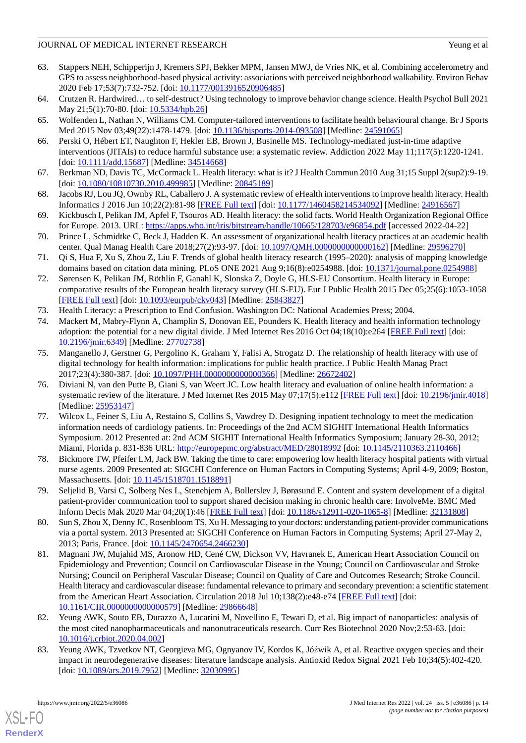- <span id="page-13-0"></span>63. Stappers NEH, Schipperijn J, Kremers SPJ, Bekker MPM, Jansen MWJ, de Vries NK, et al. Combining accelerometry and GPS to assess neighborhood-based physical activity: associations with perceived neighborhood walkability. Environ Behav 2020 Feb 17;53(7):732-752. [doi: [10.1177/0013916520906485\]](http://dx.doi.org/10.1177/0013916520906485)
- <span id="page-13-2"></span><span id="page-13-1"></span>64. Crutzen R. Hardwired… to self-destruct? Using technology to improve behavior change science. Health Psychol Bull 2021 May 21;5(1):70-80. [doi: [10.5334/hpb.26\]](http://dx.doi.org/10.5334/hpb.26)
- <span id="page-13-3"></span>65. Wolfenden L, Nathan N, Williams CM. Computer-tailored interventions to facilitate health behavioural change. Br J Sports Med 2015 Nov 03;49(22):1478-1479. [doi: [10.1136/bjsports-2014-093508\]](http://dx.doi.org/10.1136/bjsports-2014-093508) [Medline: [24591065\]](http://www.ncbi.nlm.nih.gov/entrez/query.fcgi?cmd=Retrieve&db=PubMed&list_uids=24591065&dopt=Abstract)
- <span id="page-13-4"></span>66. Perski O, Hébert ET, Naughton F, Hekler EB, Brown J, Businelle MS. Technology-mediated just-in-time adaptive interventions (JITAIs) to reduce harmful substance use: a systematic review. Addiction 2022 May 11;117(5):1220-1241. [doi: [10.1111/add.15687](http://dx.doi.org/10.1111/add.15687)] [Medline: [34514668\]](http://www.ncbi.nlm.nih.gov/entrez/query.fcgi?cmd=Retrieve&db=PubMed&list_uids=34514668&dopt=Abstract)
- <span id="page-13-5"></span>67. Berkman ND, Davis TC, McCormack L. Health literacy: what is it? J Health Commun 2010 Aug 31;15 Suppl 2(sup2):9-19. [doi: [10.1080/10810730.2010.499985](http://dx.doi.org/10.1080/10810730.2010.499985)] [Medline: [20845189\]](http://www.ncbi.nlm.nih.gov/entrez/query.fcgi?cmd=Retrieve&db=PubMed&list_uids=20845189&dopt=Abstract)
- <span id="page-13-6"></span>68. Jacobs RJ, Lou JQ, Ownby RL, Caballero J. A systematic review of eHealth interventions to improve health literacy. Health Informatics J 2016 Jun 10;22(2):81-98 [[FREE Full text](https://journals.sagepub.com/doi/10.1177/1460458214534092?url_ver=Z39.88-2003&rfr_id=ori:rid:crossref.org&rfr_dat=cr_pub%3dpubmed)] [doi: [10.1177/1460458214534092\]](http://dx.doi.org/10.1177/1460458214534092) [Medline: [24916567\]](http://www.ncbi.nlm.nih.gov/entrez/query.fcgi?cmd=Retrieve&db=PubMed&list_uids=24916567&dopt=Abstract)
- <span id="page-13-7"></span>69. Kickbusch I, Pelikan JM, Apfel F, Tsouros AD. Health literacy: the solid facts. World Health Organization Regional Office for Europe. 2013. URL: <https://apps.who.int/iris/bitstream/handle/10665/128703/e96854.pdf> [accessed 2022-04-22]
- 70. Prince L, Schmidtke C, Beck J, Hadden K. An assessment of organizational health literacy practices at an academic health center. Qual Manag Health Care 2018;27(2):93-97. [doi: [10.1097/QMH.0000000000000162](http://dx.doi.org/10.1097/QMH.0000000000000162)] [Medline: [29596270\]](http://www.ncbi.nlm.nih.gov/entrez/query.fcgi?cmd=Retrieve&db=PubMed&list_uids=29596270&dopt=Abstract)
- <span id="page-13-8"></span>71. Qi S, Hua F, Xu S, Zhou Z, Liu F. Trends of global health literacy research (1995–2020): analysis of mapping knowledge domains based on citation data mining. PLoS ONE 2021 Aug 9;16(8):e0254988. [doi: [10.1371/journal.pone.0254988\]](http://dx.doi.org/10.1371/journal.pone.0254988)
- <span id="page-13-10"></span><span id="page-13-9"></span>72. Sørensen K, Pelikan JM, Röthlin F, Ganahl K, Slonska Z, Doyle G, HLS-EU Consortium. Health literacy in Europe: comparative results of the European health literacy survey (HLS-EU). Eur J Public Health 2015 Dec 05;25(6):1053-1058 [[FREE Full text](http://europepmc.org/abstract/MED/25843827)] [doi: [10.1093/eurpub/ckv043\]](http://dx.doi.org/10.1093/eurpub/ckv043) [Medline: [25843827](http://www.ncbi.nlm.nih.gov/entrez/query.fcgi?cmd=Retrieve&db=PubMed&list_uids=25843827&dopt=Abstract)]
- 73. Health Literacy: a Prescription to End Confusion. Washington DC: National Academies Press; 2004.
- <span id="page-13-11"></span>74. Mackert M, Mabry-Flynn A, Champlin S, Donovan EE, Pounders K. Health literacy and health information technology adoption: the potential for a new digital divide. J Med Internet Res 2016 Oct 04;18(10):e264 [\[FREE Full text](https://www.jmir.org/2016/10/e264/)] [doi: [10.2196/jmir.6349](http://dx.doi.org/10.2196/jmir.6349)] [Medline: [27702738](http://www.ncbi.nlm.nih.gov/entrez/query.fcgi?cmd=Retrieve&db=PubMed&list_uids=27702738&dopt=Abstract)]
- <span id="page-13-12"></span>75. Manganello J, Gerstner G, Pergolino K, Graham Y, Falisi A, Strogatz D. The relationship of health literacy with use of digital technology for health information: implications for public health practice. J Public Health Manag Pract 2017;23(4):380-387. [doi: [10.1097/PHH.0000000000000366](http://dx.doi.org/10.1097/PHH.0000000000000366)] [Medline: [26672402](http://www.ncbi.nlm.nih.gov/entrez/query.fcgi?cmd=Retrieve&db=PubMed&list_uids=26672402&dopt=Abstract)]
- <span id="page-13-13"></span>76. Diviani N, van den Putte B, Giani S, van Weert JC. Low health literacy and evaluation of online health information: a systematic review of the literature. J Med Internet Res 2015 May 07;17(5):e112 [[FREE Full text\]](https://www.jmir.org/2015/5/e112/) [doi: [10.2196/jmir.4018](http://dx.doi.org/10.2196/jmir.4018)] [Medline: [25953147](http://www.ncbi.nlm.nih.gov/entrez/query.fcgi?cmd=Retrieve&db=PubMed&list_uids=25953147&dopt=Abstract)]
- <span id="page-13-14"></span>77. Wilcox L, Feiner S, Liu A, Restaino S, Collins S, Vawdrey D. Designing inpatient technology to meet the medication information needs of cardiology patients. In: Proceedings of the 2nd ACM SIGHIT International Health Informatics Symposium. 2012 Presented at: 2nd ACM SIGHIT International Health Informatics Symposium; January 28-30, 2012; Miami, Florida p. 831-836 URL: <http://europepmc.org/abstract/MED/28018992> [doi: [10.1145/2110363.2110466](http://dx.doi.org/10.1145/2110363.2110466)]
- <span id="page-13-16"></span><span id="page-13-15"></span>78. Bickmore TW, Pfeifer LM, Jack BW. Taking the time to care: empowering low health literacy hospital patients with virtual nurse agents. 2009 Presented at: SIGCHI Conference on Human Factors in Computing Systems; April 4-9, 2009; Boston, Massachusetts. [doi: [10.1145/1518701.1518891](http://dx.doi.org/10.1145/1518701.1518891)]
- <span id="page-13-17"></span>79. Seljelid B, Varsi C, Solberg Nes L, Stenehjem A, Bollerslev J, Børøsund E. Content and system development of a digital patient-provider communication tool to support shared decision making in chronic health care: InvolveMe. BMC Med Inform Decis Mak 2020 Mar 04;20(1):46 [[FREE Full text](https://bmcmedinformdecismak.biomedcentral.com/articles/10.1186/s12911-020-1065-8)] [doi: [10.1186/s12911-020-1065-8](http://dx.doi.org/10.1186/s12911-020-1065-8)] [Medline: [32131808](http://www.ncbi.nlm.nih.gov/entrez/query.fcgi?cmd=Retrieve&db=PubMed&list_uids=32131808&dopt=Abstract)]
- 80. Sun S, Zhou X, Denny JC, Rosenbloom TS, Xu H. Messaging to your doctors: understanding patient-provider communications via a portal system. 2013 Presented at: SIGCHI Conference on Human Factors in Computing Systems; April 27-May 2, 2013; Paris, France. [doi: [10.1145/2470654.2466230](http://dx.doi.org/10.1145/2470654.2466230)]
- <span id="page-13-18"></span>81. Magnani JW, Mujahid MS, Aronow HD, Cené CW, Dickson VV, Havranek E, American Heart Association Council on Epidemiology and Prevention; Council on Cardiovascular Disease in the Young; Council on Cardiovascular and Stroke Nursing; Council on Peripheral Vascular Disease; Council on Quality of Care and Outcomes Research; Stroke Council. Health literacy and cardiovascular disease: fundamental relevance to primary and secondary prevention: a scientific statement from the American Heart Association. Circulation 2018 Jul 10;138(2):e48-e74 [\[FREE Full text\]](http://europepmc.org/abstract/MED/29866648) [doi: [10.1161/CIR.0000000000000579\]](http://dx.doi.org/10.1161/CIR.0000000000000579) [Medline: [29866648\]](http://www.ncbi.nlm.nih.gov/entrez/query.fcgi?cmd=Retrieve&db=PubMed&list_uids=29866648&dopt=Abstract)
- 82. Yeung AWK, Souto EB, Durazzo A, Lucarini M, Novellino E, Tewari D, et al. Big impact of nanoparticles: analysis of the most cited nanopharmaceuticals and nanonutraceuticals research. Curr Res Biotechnol 2020 Nov;2:53-63. [doi: [10.1016/j.crbiot.2020.04.002\]](http://dx.doi.org/10.1016/j.crbiot.2020.04.002)
- 83. Yeung AWK, Tzvetkov NT, Georgieva MG, Ognyanov IV, Kordos K, Jóźwik A, et al. Reactive oxygen species and their impact in neurodegenerative diseases: literature landscape analysis. Antioxid Redox Signal 2021 Feb 10;34(5):402-420. [doi: [10.1089/ars.2019.7952\]](http://dx.doi.org/10.1089/ars.2019.7952) [Medline: [32030995\]](http://www.ncbi.nlm.nih.gov/entrez/query.fcgi?cmd=Retrieve&db=PubMed&list_uids=32030995&dopt=Abstract)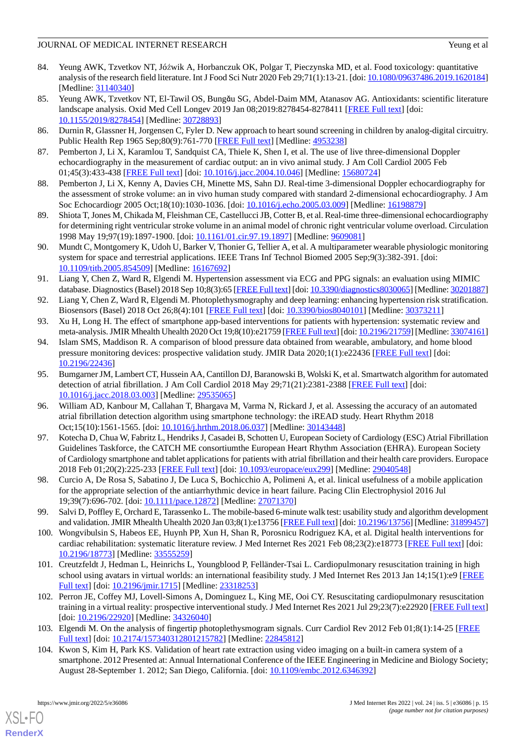- <span id="page-14-0"></span>84. Yeung AWK, Tzvetkov NT, Jóźwik A, Horbanczuk OK, Polgar T, Pieczynska MD, et al. Food toxicology: quantitative analysis of the research field literature. Int J Food Sci Nutr 2020 Feb 29;71(1):13-21. [doi: [10.1080/09637486.2019.1620184](http://dx.doi.org/10.1080/09637486.2019.1620184)] [Medline: [31140340](http://www.ncbi.nlm.nih.gov/entrez/query.fcgi?cmd=Retrieve&db=PubMed&list_uids=31140340&dopt=Abstract)]
- <span id="page-14-1"></span>85. Yeung AWK, Tzvetkov NT, El-Tawil OS, Bungǎu SG, Abdel-Daim MM, Atanasov AG. Antioxidants: scientific literature landscape analysis. Oxid Med Cell Longev 2019 Jan 08;2019:8278454-8278411 [\[FREE Full text](https://doi.org/10.1155/2019/8278454)] [doi: [10.1155/2019/8278454\]](http://dx.doi.org/10.1155/2019/8278454) [Medline: [30728893](http://www.ncbi.nlm.nih.gov/entrez/query.fcgi?cmd=Retrieve&db=PubMed&list_uids=30728893&dopt=Abstract)]
- <span id="page-14-3"></span><span id="page-14-2"></span>86. Durnin R, Glassner H, Jorgensen C, Fyler D. New approach to heart sound screening in children by analog-digital circuitry. Public Health Rep 1965 Sep;80(9):761-770 [\[FREE Full text\]](http://europepmc.org/abstract/MED/4953238) [Medline: [4953238](http://www.ncbi.nlm.nih.gov/entrez/query.fcgi?cmd=Retrieve&db=PubMed&list_uids=4953238&dopt=Abstract)]
- 87. Pemberton J, Li X, Karamlou T, Sandquist CA, Thiele K, Shen I, et al. The use of live three-dimensional Doppler echocardiography in the measurement of cardiac output: an in vivo animal study. J Am Coll Cardiol 2005 Feb 01;45(3):433-438 [[FREE Full text](https://linkinghub.elsevier.com/retrieve/pii/S0735-1097(04)02159-X)] [doi: [10.1016/j.jacc.2004.10.046\]](http://dx.doi.org/10.1016/j.jacc.2004.10.046) [Medline: [15680724\]](http://www.ncbi.nlm.nih.gov/entrez/query.fcgi?cmd=Retrieve&db=PubMed&list_uids=15680724&dopt=Abstract)
- <span id="page-14-4"></span>88. Pemberton J, Li X, Kenny A, Davies CH, Minette MS, Sahn DJ. Real-time 3-dimensional Doppler echocardiography for the assessment of stroke volume: an in vivo human study compared with standard 2-dimensional echocardiography. J Am Soc Echocardiogr 2005 Oct;18(10):1030-1036. [doi: [10.1016/j.echo.2005.03.009](http://dx.doi.org/10.1016/j.echo.2005.03.009)] [Medline: [16198879\]](http://www.ncbi.nlm.nih.gov/entrez/query.fcgi?cmd=Retrieve&db=PubMed&list_uids=16198879&dopt=Abstract)
- <span id="page-14-5"></span>89. Shiota T, Jones M, Chikada M, Fleishman CE, Castellucci JB, Cotter B, et al. Real-time three-dimensional echocardiography for determining right ventricular stroke volume in an animal model of chronic right ventricular volume overload. Circulation 1998 May 19;97(19):1897-1900. [doi: [10.1161/01.cir.97.19.1897](http://dx.doi.org/10.1161/01.cir.97.19.1897)] [Medline: [9609081\]](http://www.ncbi.nlm.nih.gov/entrez/query.fcgi?cmd=Retrieve&db=PubMed&list_uids=9609081&dopt=Abstract)
- <span id="page-14-6"></span>90. Mundt C, Montgomery K, Udoh U, Barker V, Thonier G, Tellier A, et al. A multiparameter wearable physiologic monitoring system for space and terrestrial applications. IEEE Trans Inf Technol Biomed 2005 Sep;9(3):382-391. [doi: [10.1109/titb.2005.854509\]](http://dx.doi.org/10.1109/titb.2005.854509) [Medline: [16167692\]](http://www.ncbi.nlm.nih.gov/entrez/query.fcgi?cmd=Retrieve&db=PubMed&list_uids=16167692&dopt=Abstract)
- <span id="page-14-7"></span>91. Liang Y, Chen Z, Ward R, Elgendi M. Hypertension assessment via ECG and PPG signals: an evaluation using MIMIC database. Diagnostics (Basel) 2018 Sep 10;8(3):65 [[FREE Full text\]](https://www.mdpi.com/resolver?pii=diagnostics8030065) [doi: [10.3390/diagnostics8030065](http://dx.doi.org/10.3390/diagnostics8030065)] [Medline: [30201887](http://www.ncbi.nlm.nih.gov/entrez/query.fcgi?cmd=Retrieve&db=PubMed&list_uids=30201887&dopt=Abstract)]
- <span id="page-14-9"></span><span id="page-14-8"></span>92. Liang Y, Chen Z, Ward R, Elgendi M. Photoplethysmography and deep learning: enhancing hypertension risk stratification. Biosensors (Basel) 2018 Oct 26;8(4):101 [[FREE Full text](https://www.mdpi.com/resolver?pii=bios8040101)] [doi: [10.3390/bios8040101](http://dx.doi.org/10.3390/bios8040101)] [Medline: [30373211](http://www.ncbi.nlm.nih.gov/entrez/query.fcgi?cmd=Retrieve&db=PubMed&list_uids=30373211&dopt=Abstract)]
- 93. Xu H, Long H. The effect of smartphone app-based interventions for patients with hypertension: systematic review and meta-analysis. JMIR Mhealth Uhealth 2020 Oct 19;8(10):e21759 [\[FREE Full text\]](https://mhealth.jmir.org/2020/10/e21759/) [doi: [10.2196/21759\]](http://dx.doi.org/10.2196/21759) [Medline: [33074161](http://www.ncbi.nlm.nih.gov/entrez/query.fcgi?cmd=Retrieve&db=PubMed&list_uids=33074161&dopt=Abstract)]
- <span id="page-14-10"></span>94. Islam SMS, Maddison R. A comparison of blood pressure data obtained from wearable, ambulatory, and home blood pressure monitoring devices: prospective validation study. JMIR Data 2020;1(1):e22436 [[FREE Full text](https://data.jmir.org/2020/1/e22436)] [doi: [10.2196/22436\]](http://dx.doi.org/10.2196/22436)
- <span id="page-14-11"></span>95. Bumgarner JM, Lambert CT, Hussein AA, Cantillon DJ, Baranowski B, Wolski K, et al. Smartwatch algorithm for automated detection of atrial fibrillation. J Am Coll Cardiol 2018 May 29;71(21):2381-2388 [[FREE Full text](https://linkinghub.elsevier.com/retrieve/pii/S0735-1097(18)33486-7)] [doi: [10.1016/j.jacc.2018.03.003\]](http://dx.doi.org/10.1016/j.jacc.2018.03.003) [Medline: [29535065\]](http://www.ncbi.nlm.nih.gov/entrez/query.fcgi?cmd=Retrieve&db=PubMed&list_uids=29535065&dopt=Abstract)
- <span id="page-14-12"></span>96. William AD, Kanbour M, Callahan T, Bhargava M, Varma N, Rickard J, et al. Assessing the accuracy of an automated atrial fibrillation detection algorithm using smartphone technology: the iREAD study. Heart Rhythm 2018 Oct;15(10):1561-1565. [doi: [10.1016/j.hrthm.2018.06.037\]](http://dx.doi.org/10.1016/j.hrthm.2018.06.037) [Medline: [30143448\]](http://www.ncbi.nlm.nih.gov/entrez/query.fcgi?cmd=Retrieve&db=PubMed&list_uids=30143448&dopt=Abstract)
- <span id="page-14-13"></span>97. Kotecha D, Chua W, Fabritz L, Hendriks J, Casadei B, Schotten U, European Society of Cardiology (ESC) Atrial Fibrillation Guidelines Taskforce, the CATCH ME consortiumthe European Heart Rhythm Association (EHRA). European Society of Cardiology smartphone and tablet applications for patients with atrial fibrillation and their health care providers. Europace 2018 Feb 01;20(2):225-233 [[FREE Full text](http://europepmc.org/abstract/MED/29040548)] [doi: [10.1093/europace/eux299](http://dx.doi.org/10.1093/europace/eux299)] [Medline: [29040548\]](http://www.ncbi.nlm.nih.gov/entrez/query.fcgi?cmd=Retrieve&db=PubMed&list_uids=29040548&dopt=Abstract)
- <span id="page-14-15"></span><span id="page-14-14"></span>98. Curcio A, De Rosa S, Sabatino J, De Luca S, Bochicchio A, Polimeni A, et al. linical usefulness of a mobile application for the appropriate selection of the antiarrhythmic device in heart failure. Pacing Clin Electrophysiol 2016 Jul 19;39(7):696-702. [doi: [10.1111/pace.12872\]](http://dx.doi.org/10.1111/pace.12872) [Medline: [27071370](http://www.ncbi.nlm.nih.gov/entrez/query.fcgi?cmd=Retrieve&db=PubMed&list_uids=27071370&dopt=Abstract)]
- <span id="page-14-16"></span>99. Salvi D, Poffley E, Orchard E, Tarassenko L. The mobile-based 6-minute walk test: usability study and algorithm development and validation. JMIR Mhealth Uhealth 2020 Jan 03;8(1):e13756 [[FREE Full text](https://mhealth.jmir.org/2020/1/e13756/)] [doi: [10.2196/13756](http://dx.doi.org/10.2196/13756)] [Medline: [31899457\]](http://www.ncbi.nlm.nih.gov/entrez/query.fcgi?cmd=Retrieve&db=PubMed&list_uids=31899457&dopt=Abstract)
- <span id="page-14-17"></span>100. Wongvibulsin S, Habeos EE, Huynh PP, Xun H, Shan R, Porosnicu Rodriguez KA, et al. Digital health interventions for cardiac rehabilitation: systematic literature review. J Med Internet Res 2021 Feb 08;23(2):e18773 [[FREE Full text](https://www.jmir.org/2021/2/e18773/)] [doi: [10.2196/18773\]](http://dx.doi.org/10.2196/18773) [Medline: [33555259\]](http://www.ncbi.nlm.nih.gov/entrez/query.fcgi?cmd=Retrieve&db=PubMed&list_uids=33555259&dopt=Abstract)
- <span id="page-14-18"></span>101. Creutzfeldt J, Hedman L, Heinrichs L, Youngblood P, Felländer-Tsai L. Cardiopulmonary resuscitation training in high school using avatars in virtual worlds: an international feasibility study. J Med Internet Res 2013 Jan 14;15(1):e9 [[FREE](https://www.jmir.org/2013/1/e9/) [Full text\]](https://www.jmir.org/2013/1/e9/) [doi: [10.2196/jmir.1715](http://dx.doi.org/10.2196/jmir.1715)] [Medline: [23318253\]](http://www.ncbi.nlm.nih.gov/entrez/query.fcgi?cmd=Retrieve&db=PubMed&list_uids=23318253&dopt=Abstract)
- <span id="page-14-19"></span>102. Perron JE, Coffey MJ, Lovell-Simons A, Dominguez L, King ME, Ooi CY. Resuscitating cardiopulmonary resuscitation training in a virtual reality: prospective interventional study. J Med Internet Res 2021 Jul 29;23(7):e22920 [[FREE Full text](https://www.jmir.org/2021/7/e22920/)] [doi: [10.2196/22920](http://dx.doi.org/10.2196/22920)] [Medline: [34326040\]](http://www.ncbi.nlm.nih.gov/entrez/query.fcgi?cmd=Retrieve&db=PubMed&list_uids=34326040&dopt=Abstract)
- 103. Elgendi M. On the analysis of fingertip photoplethysmogram signals. Curr Cardiol Rev 2012 Feb 01;8(1):14-25 [\[FREE](http://europepmc.org/abstract/MED/22845812) [Full text\]](http://europepmc.org/abstract/MED/22845812) [doi: [10.2174/157340312801215782](http://dx.doi.org/10.2174/157340312801215782)] [Medline: [22845812](http://www.ncbi.nlm.nih.gov/entrez/query.fcgi?cmd=Retrieve&db=PubMed&list_uids=22845812&dopt=Abstract)]
- 104. Kwon S, Kim H, Park KS. Validation of heart rate extraction using video imaging on a built-in camera system of a smartphone. 2012 Presented at: Annual International Conference of the IEEE Engineering in Medicine and Biology Society; August 28-September 1. 2012; San Diego, California. [doi: [10.1109/embc.2012.6346392](http://dx.doi.org/10.1109/embc.2012.6346392)]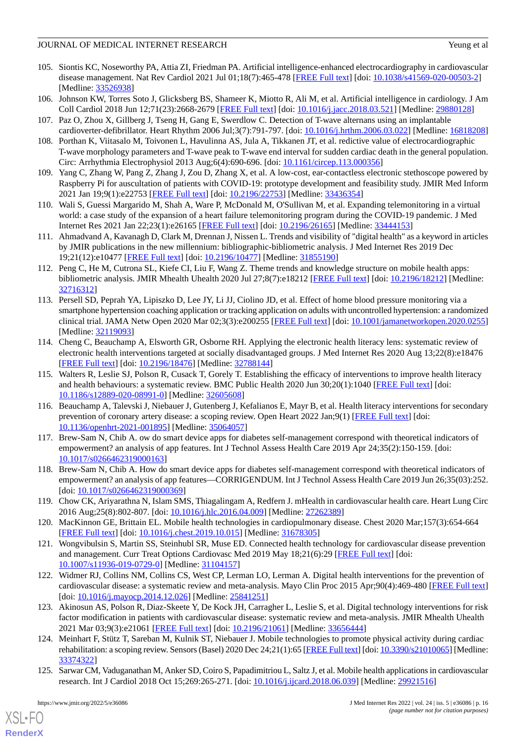- <span id="page-15-0"></span>105. Siontis KC, Noseworthy PA, Attia ZI, Friedman PA. Artificial intelligence-enhanced electrocardiography in cardiovascular disease management. Nat Rev Cardiol 2021 Jul 01;18(7):465-478 [[FREE Full text](http://europepmc.org/abstract/MED/33526938)] [doi: [10.1038/s41569-020-00503-2\]](http://dx.doi.org/10.1038/s41569-020-00503-2) [Medline: [33526938](http://www.ncbi.nlm.nih.gov/entrez/query.fcgi?cmd=Retrieve&db=PubMed&list_uids=33526938&dopt=Abstract)]
- <span id="page-15-2"></span><span id="page-15-1"></span>106. Johnson KW, Torres Soto J, Glicksberg BS, Shameer K, Miotto R, Ali M, et al. Artificial intelligence in cardiology. J Am Coll Cardiol 2018 Jun 12;71(23):2668-2679 [\[FREE Full text](https://linkinghub.elsevier.com/retrieve/pii/S0735-1097(18)34408-5)] [doi: [10.1016/j.jacc.2018.03.521\]](http://dx.doi.org/10.1016/j.jacc.2018.03.521) [Medline: [29880128\]](http://www.ncbi.nlm.nih.gov/entrez/query.fcgi?cmd=Retrieve&db=PubMed&list_uids=29880128&dopt=Abstract)
- <span id="page-15-3"></span>107. Paz O, Zhou X, Gillberg J, Tseng H, Gang E, Swerdlow C. Detection of T-wave alternans using an implantable cardioverter-defibrillator. Heart Rhythm 2006 Jul;3(7):791-797. [doi: [10.1016/j.hrthm.2006.03.022\]](http://dx.doi.org/10.1016/j.hrthm.2006.03.022) [Medline: [16818208](http://www.ncbi.nlm.nih.gov/entrez/query.fcgi?cmd=Retrieve&db=PubMed&list_uids=16818208&dopt=Abstract)]
- <span id="page-15-4"></span>108. Porthan K, Viitasalo M, Toivonen L, Havulinna AS, Jula A, Tikkanen JT, et al. redictive value of electrocardiographic T-wave morphology parameters and T-wave peak to T-wave end interval for sudden cardiac death in the general population. Circ: Arrhythmia Electrophysiol 2013 Aug;6(4):690-696. [doi: [10.1161/circep.113.000356](http://dx.doi.org/10.1161/circep.113.000356)]
- <span id="page-15-5"></span>109. Yang C, Zhang W, Pang Z, Zhang J, Zou D, Zhang X, et al. A low-cost, ear-contactless electronic stethoscope powered by Raspberry Pi for auscultation of patients with COVID-19: prototype development and feasibility study. JMIR Med Inform 2021 Jan 19;9(1):e22753 [\[FREE Full text\]](https://medinform.jmir.org/2021/1/e22753/) [doi: [10.2196/22753](http://dx.doi.org/10.2196/22753)] [Medline: [33436354](http://www.ncbi.nlm.nih.gov/entrez/query.fcgi?cmd=Retrieve&db=PubMed&list_uids=33436354&dopt=Abstract)]
- <span id="page-15-6"></span>110. Wali S, Guessi Margarido M, Shah A, Ware P, McDonald M, O'Sullivan M, et al. Expanding telemonitoring in a virtual world: a case study of the expansion of a heart failure telemonitoring program during the COVID-19 pandemic. J Med Internet Res 2021 Jan 22;23(1):e26165 [\[FREE Full text\]](https://www.jmir.org/2021/1/e26165/) [doi: [10.2196/26165](http://dx.doi.org/10.2196/26165)] [Medline: [33444153](http://www.ncbi.nlm.nih.gov/entrez/query.fcgi?cmd=Retrieve&db=PubMed&list_uids=33444153&dopt=Abstract)]
- <span id="page-15-7"></span>111. Ahmadvand A, Kavanagh D, Clark M, Drennan J, Nissen L. Trends and visibility of "digital health" as a keyword in articles by JMIR publications in the new millennium: bibliographic-bibliometric analysis. J Med Internet Res 2019 Dec 19;21(12):e10477 [\[FREE Full text](https://www.jmir.org/2019/12/e10477/)] [doi: [10.2196/10477\]](http://dx.doi.org/10.2196/10477) [Medline: [31855190\]](http://www.ncbi.nlm.nih.gov/entrez/query.fcgi?cmd=Retrieve&db=PubMed&list_uids=31855190&dopt=Abstract)
- <span id="page-15-8"></span>112. Peng C, He M, Cutrona SL, Kiefe CI, Liu F, Wang Z. Theme trends and knowledge structure on mobile health apps: bibliometric analysis. JMIR Mhealth Uhealth 2020 Jul 27;8(7):e18212 [[FREE Full text\]](https://mhealth.jmir.org/2020/7/e18212/) [doi: [10.2196/18212](http://dx.doi.org/10.2196/18212)] [Medline: [32716312](http://www.ncbi.nlm.nih.gov/entrez/query.fcgi?cmd=Retrieve&db=PubMed&list_uids=32716312&dopt=Abstract)]
- <span id="page-15-9"></span>113. Persell SD, Peprah YA, Lipiszko D, Lee JY, Li JJ, Ciolino JD, et al. Effect of home blood pressure monitoring via a smartphone hypertension coaching application or tracking application on adults with uncontrolled hypertension: a randomized clinical trial. JAMA Netw Open 2020 Mar 02;3(3):e200255 [\[FREE Full text\]](https://jamanetwork.com/journals/jamanetworkopen/fullarticle/10.1001/jamanetworkopen.2020.0255) [doi: [10.1001/jamanetworkopen.2020.0255](http://dx.doi.org/10.1001/jamanetworkopen.2020.0255)] [Medline: [32119093](http://www.ncbi.nlm.nih.gov/entrez/query.fcgi?cmd=Retrieve&db=PubMed&list_uids=32119093&dopt=Abstract)]
- <span id="page-15-10"></span>114. Cheng C, Beauchamp A, Elsworth GR, Osborne RH. Applying the electronic health literacy lens: systematic review of electronic health interventions targeted at socially disadvantaged groups. J Med Internet Res 2020 Aug 13;22(8):e18476 [[FREE Full text](https://www.jmir.org/2020/8/e18476/)] [doi: [10.2196/18476\]](http://dx.doi.org/10.2196/18476) [Medline: [32788144\]](http://www.ncbi.nlm.nih.gov/entrez/query.fcgi?cmd=Retrieve&db=PubMed&list_uids=32788144&dopt=Abstract)
- <span id="page-15-11"></span>115. Walters R, Leslie SJ, Polson R, Cusack T, Gorely T. Establishing the efficacy of interventions to improve health literacy and health behaviours: a systematic review. BMC Public Health 2020 Jun 30;20(1):1040 [[FREE Full text](https://bmcpublichealth.biomedcentral.com/articles/10.1186/s12889-020-08991-0)] [doi: [10.1186/s12889-020-08991-0\]](http://dx.doi.org/10.1186/s12889-020-08991-0) [Medline: [32605608\]](http://www.ncbi.nlm.nih.gov/entrez/query.fcgi?cmd=Retrieve&db=PubMed&list_uids=32605608&dopt=Abstract)
- <span id="page-15-12"></span>116. Beauchamp A, Talevski J, Niebauer J, Gutenberg J, Kefalianos E, Mayr B, et al. Health literacy interventions for secondary prevention of coronary artery disease: a scoping review. Open Heart 2022 Jan;9(1) [[FREE Full text](https://openheart.bmj.com/content/openhrt/9/1/e001895.full.pdf)] [doi: [10.1136/openhrt-2021-001895](http://dx.doi.org/10.1136/openhrt-2021-001895)] [Medline: [35064057\]](http://www.ncbi.nlm.nih.gov/entrez/query.fcgi?cmd=Retrieve&db=PubMed&list_uids=35064057&dopt=Abstract)
- <span id="page-15-14"></span><span id="page-15-13"></span>117. Brew-Sam N, Chib A. ow do smart device apps for diabetes self-management correspond with theoretical indicators of empowerment? an analysis of app features. Int J Technol Assess Health Care 2019 Apr 24;35(2):150-159. [doi: [10.1017/s0266462319000163\]](http://dx.doi.org/10.1017/s0266462319000163)
- 118. Brew-Sam N, Chib A. How do smart device apps for diabetes self-management correspond with theoretical indicators of empowerment? an analysis of app features—CORRIGENDUM. Int J Technol Assess Health Care 2019 Jun 26;35(03):252. [doi: [10.1017/s0266462319000369](http://dx.doi.org/10.1017/s0266462319000369)]
- <span id="page-15-15"></span>119. Chow CK, Ariyarathna N, Islam SMS, Thiagalingam A, Redfern J. mHealth in cardiovascular health care. Heart Lung Circ 2016 Aug; 25(8): 802-807. [doi: 10.1016/j.hlc. 2016.04.009] [Medline: [27262389](http://www.ncbi.nlm.nih.gov/entrez/query.fcgi?cmd=Retrieve&db=PubMed&list_uids=27262389&dopt=Abstract)]
- <span id="page-15-16"></span>120. MacKinnon GE, Brittain EL. Mobile health technologies in cardiopulmonary disease. Chest 2020 Mar;157(3):654-664 [[FREE Full text](http://europepmc.org/abstract/MED/31678305)] [doi: [10.1016/j.chest.2019.10.015](http://dx.doi.org/10.1016/j.chest.2019.10.015)] [Medline: [31678305\]](http://www.ncbi.nlm.nih.gov/entrez/query.fcgi?cmd=Retrieve&db=PubMed&list_uids=31678305&dopt=Abstract)
- <span id="page-15-17"></span>121. Wongvibulsin S, Martin SS, Steinhubl SR, Muse ED. Connected health technology for cardiovascular disease prevention and management. Curr Treat Options Cardiovasc Med 2019 May 18;21(6):29 [\[FREE Full text](http://europepmc.org/abstract/MED/31104157)] [doi: [10.1007/s11936-019-0729-0\]](http://dx.doi.org/10.1007/s11936-019-0729-0) [Medline: [31104157](http://www.ncbi.nlm.nih.gov/entrez/query.fcgi?cmd=Retrieve&db=PubMed&list_uids=31104157&dopt=Abstract)]
- <span id="page-15-18"></span>122. Widmer RJ, Collins NM, Collins CS, West CP, Lerman LO, Lerman A. Digital health interventions for the prevention of cardiovascular disease: a systematic review and meta-analysis. Mayo Clin Proc 2015 Apr;90(4):469-480 [\[FREE Full text](http://europepmc.org/abstract/MED/25841251)] [doi: [10.1016/j.mayocp.2014.12.026\]](http://dx.doi.org/10.1016/j.mayocp.2014.12.026) [Medline: [25841251](http://www.ncbi.nlm.nih.gov/entrez/query.fcgi?cmd=Retrieve&db=PubMed&list_uids=25841251&dopt=Abstract)]
- <span id="page-15-19"></span>123. Akinosun AS, Polson R, Diaz-Skeete Y, De Kock JH, Carragher L, Leslie S, et al. Digital technology interventions for risk factor modification in patients with cardiovascular disease: systematic review and meta-analysis. JMIR Mhealth Uhealth 2021 Mar 03;9(3):e21061 [[FREE Full text](https://mhealth.jmir.org/2021/3/e21061/)] [doi: [10.2196/21061\]](http://dx.doi.org/10.2196/21061) [Medline: [33656444](http://www.ncbi.nlm.nih.gov/entrez/query.fcgi?cmd=Retrieve&db=PubMed&list_uids=33656444&dopt=Abstract)]
- 124. Meinhart F, Stütz T, Sareban M, Kulnik ST, Niebauer J. Mobile technologies to promote physical activity during cardiac rehabilitation: a scoping review. Sensors (Basel) 2020 Dec 24;21(1):65 [\[FREE Full text](https://www.mdpi.com/resolver?pii=s21010065)] [doi: [10.3390/s21010065\]](http://dx.doi.org/10.3390/s21010065) [Medline: [33374322](http://www.ncbi.nlm.nih.gov/entrez/query.fcgi?cmd=Retrieve&db=PubMed&list_uids=33374322&dopt=Abstract)]
- 125. Sarwar CM, Vaduganathan M, Anker SD, Coiro S, Papadimitriou L, Saltz J, et al. Mobile health applications in cardiovascular research. Int J Cardiol 2018 Oct 15;269:265-271. [doi: [10.1016/j.ijcard.2018.06.039\]](http://dx.doi.org/10.1016/j.ijcard.2018.06.039) [Medline: [29921516\]](http://www.ncbi.nlm.nih.gov/entrez/query.fcgi?cmd=Retrieve&db=PubMed&list_uids=29921516&dopt=Abstract)